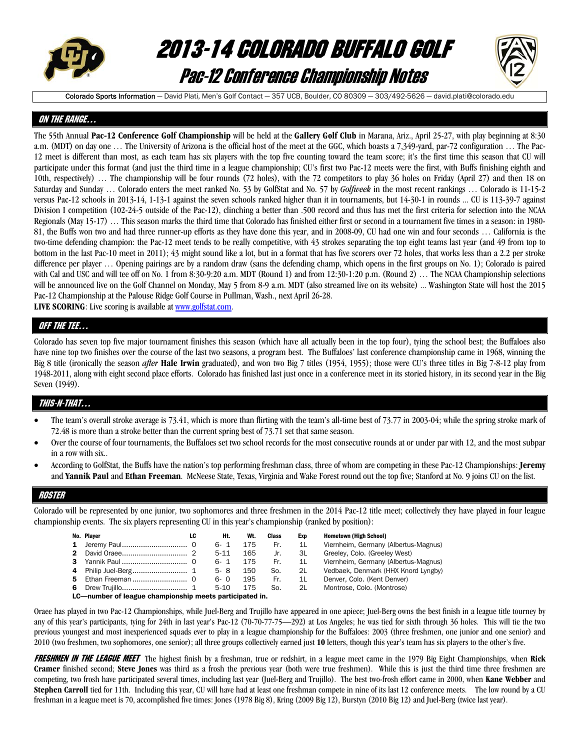

# 2013-14 COLORADO BUFFALO GOLF Pac-12 Conference Championship Notes



Colorado Sports Information - David Plati, Men's Golf Contact - 357 UCB, Boulder, CO 80309 - 303/492-5626 - david.plati@colorado.edu

#### ON THE RANGE…

The 55th Annual **Pac-12 Conference Golf Championship** will be held at the **Gallery Golf Club** in Marana, Ariz., April 25-27, with play beginning at 8:30 a.m. (MDT) on day one … The University of Arizona is the official host of the meet at the GGC, which boasts a 7,349-yard, par-72 configuration … The Pac-12 meet is different than most, as each team has six players with the top five counting toward the team score; it's the first time this season that CU will participate under this format (and just the third time in a league championship; CU's first two Pac-12 meets were the first, with Buffs finishing eighth and 10th, respectively) … The championship will be four rounds (72 holes), with the 72 competitors to play 36 holes on Friday (April 27) and then 18 on Saturday and Sunday … Colorado enters the meet ranked No. 53 by GolfStat and No. 57 by *Golfweek* in the most recent rankings … Colorado is 11-15-2 versus Pac-12 schools in 2013-14, 1-13-1 against the seven schools ranked higher than it in tournaments, but 14-30-1 in rounds ... CU is 113-39-7 against Division I competition (102-24-5 outside of the Pac-12), clinching a better than .500 record and thus has met the first criteria for selection into the NCAA Regionals (May 15-17) ... This season marks the third time that Colorado has finished either first or second in a tournament five times in a season: in 1980-81, the Buffs won two and had three runner-up efforts as they have done this year, and in 2008-09, CU had one win and four seconds … California is the two-time defending champion: the Pac-12 meet tends to be really competitive, with 43 strokes separating the top eight teams last year (and 49 from top to bottom in the last Pac-10 meet in 2011); 43 might sound like a lot, but in a format that has five scorers over 72 holes, that works less than a 2.2 per stroke difference per player … Opening pairings are by a random draw (sans the defending champ, which opens in the first groups on No. 1); Colorado is paired with Cal and USC and will tee off on No. 1 from 8:30-9:20 a.m. MDT (Round 1) and from 12:30-1:20 p.m. (Round 2) ... The NCAA Championship selections will be announced live on the Golf Channel on Monday, May 5 from 8-9 a.m. MDT (also streamed live on its website) ... Washington State will host the 2015 Pac-12 Championship at the Palouse Ridge Golf Course in Pullman, Wash., next April 26-28.

**LIVE SCORING**: Live scoring is available at www.golfstat.com.

### QFF THE TEE…

Colorado has seven top five major tournament finishes this season (which have all actually been in the top four), tying the school best; the Buffaloes also have nine top two finishes over the course of the last two seasons, a program best. The Buffaloes' last conference championship came in 1968, winning the Big 8 title (ironically the season *after* **Hale Irwin** graduated), and won two Big 7 titles (1954, 1955); those were CU's three titles in Big 7-8-12 play from 1948-2011, along with eight second place efforts. Colorado has finished last just once in a conference meet in its storied history, in its second year in the Big Seven (1949).

### THIS-N-THAT…

- The team's overall stroke average is 73.41, which is more than flirting with the team's all-time best of 73.77 in 2003-04; while the spring stroke mark of 72.48 is more than a stroke better than the current spring best of 73.71 set that same season.
- Over the course of four tournaments, the Buffaloes set two school records for the most consecutive rounds at or under par with 12, and the most subpar in a row with six..
- According to GolfStat, the Buffs have the nation's top performing freshman class, three of whom are competing in these Pac-12 Championships: **Jeremy** and **Yannik Paul** and **Ethan Freeman**. McNeese State, Texas, Virginia and Wake Forest round out the top five; Stanford at No. 9 joins CU on the list.

#### ROSTER

Colorado will be represented by one junior, two sophomores and three freshmen in the 2014 Pac-12 title meet; collectively they have played in four league championship events. The six players representing CU in this year's championship (ranked by position):

|  | No. Player                                                      | LC | Ht.  | Wt. | Class | Exp | <b>Hometown (High School)</b>        |
|--|-----------------------------------------------------------------|----|------|-----|-------|-----|--------------------------------------|
|  |                                                                 |    | 6-1  | 175 | Fr.   | 11  | Viernheim, Germany (Albertus-Magnus) |
|  |                                                                 |    | 5-11 | 165 | Jr.   | 3L  | Greeley, Colo. (Greeley West)        |
|  |                                                                 |    | 6-1  | 175 | Fr.   | 11  | Viernheim, Germany (Albertus-Magnus) |
|  |                                                                 |    | 5-8  | 150 | So.   | 2L  | Vedbaek, Denmark (HHX Knord Lyngby)  |
|  |                                                                 |    | 6- O | 195 | Fr.   | 1L  | Denver, Colo. (Kent Denver)          |
|  |                                                                 |    | 5-10 | 175 | So.   | 2L  | Montrose, Colo, (Montrose)           |
|  | LO incomplete of leading above denoble meade nowhale teacher to |    |      |     |       |     |                                      |

LC—number of league championship meets participated in.

Oraee has played in two Pac-12 Championships, while Juel-Berg and Trujillo have appeared in one apiece; Juel-Berg owns the best finish in a league title tourney by any of this year's participants, tying for 24th in last year's Pac-12 (70-70-77-75—292) at Los Angeles; he was tied for sixth through 36 holes. This will tie the two previous youngest and most inexperienced squads ever to play in a league championship for the Buffaloes: 2003 (three freshmen, one junior and one senior) and 2010 (two freshmen, two sophomores, one senior); all three groups collectively earned just **10** letters, though this year's team has six players to the other's five.

FRESHMEN IN THE LEAGUE MEET The highest finish by a freshman, true or redshirt, in a league meet came in the 1979 Big Eight Championships, when **Rick Cramer** finished second; **Steve Jones** was third as a frosh the previous year (both were true freshmen). While this is just the third time three freshmen are competing, two frosh have participated several times, including last year (Juel-Berg and Trujillo). The best two-frosh effort came in 2000, when **Kane Webber** and **Stephen Carroll** tied for 11th. Including this year, CU will have had at least one freshman compete in nine of its last 12 conference meets. The low round by a CU freshman in a league meet is 70, accomplished five times: Jones (1978 Big 8), Kring (2009 Big 12), Burstyn (2010 Big 12) and Juel-Berg (twice last year).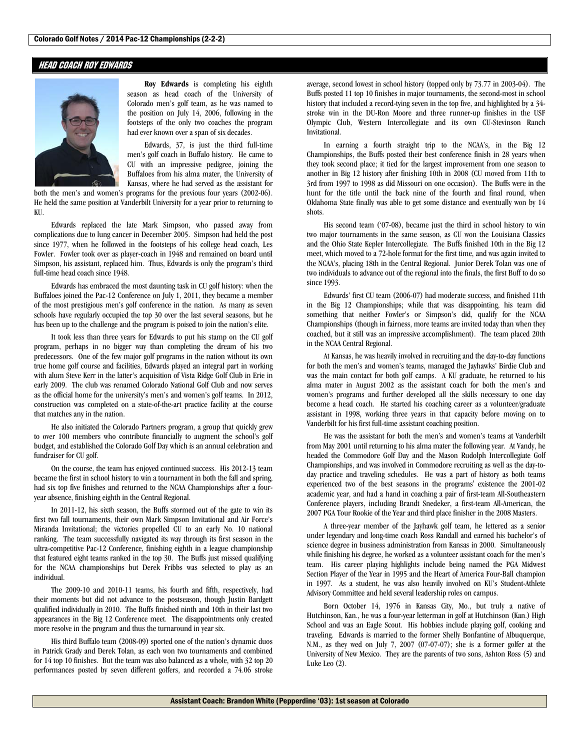#### HEAD COACH ROY EDWARDS



**Roy Edwards** is completing his eighth season as head coach of the University of Colorado men's golf team, as he was named to the position on July 14, 2006, following in the footsteps of the only two coaches the program had ever known over a span of six decades.

 Edwards, 37, is just the third full-time men's golf coach in Buffalo history. He came to CU with an impressive pedigree, joining the Buffaloes from his alma mater, the University of Kansas, where he had served as the assistant for

both the men's and women's programs for the previous four years (2002-06). He held the same position at Vanderbilt University for a year prior to returning to KU.

 Edwards replaced the late Mark Simpson, who passed away from complications due to lung cancer in December 2005. Simpson had held the post since 1977, when he followed in the footsteps of his college head coach, Les Fowler. Fowler took over as player-coach in 1948 and remained on board until Simpson, his assistant, replaced him. Thus, Edwards is only the program's third full-time head coach since 1948.

 Edwards has embraced the most daunting task in CU golf history: when the Buffaloes joined the Pac-12 Conference on July 1, 2011, they became a member of the most prestigious men's golf conference in the nation. As many as seven schools have regularly occupied the top 30 over the last several seasons, but he has been up to the challenge and the program is poised to join the nation's elite.

 It took less than three years for Edwards to put his stamp on the CU golf program, perhaps in no bigger way than completing the dream of his two predecessors. One of the few major golf programs in the nation without its own true home golf course and facilities, Edwards played an integral part in working with alum Steve Kerr in the latter's acquisition of Vista Ridge Golf Club in Erie in early 2009. The club was renamed Colorado National Golf Club and now serves as the official home for the university's men's and women's golf teams. In 2012, construction was completed on a state-of-the-art practice facility at the course that matches any in the nation.

 He also initiated the Colorado Partners program, a group that quickly grew to over 100 members who contribute financially to augment the school's golf budget, and established the Colorado Golf Day which is an annual celebration and fundraiser for CU golf.

 On the course, the team has enjoyed continued success. His 2012-13 team became the first in school history to win a tournament in both the fall and spring, had six top five finishes and returned to the NCAA Championships after a fouryear absence, finishing eighth in the Central Regional.

 In 2011-12, his sixth season, the Buffs stormed out of the gate to win its first two fall tournaments, their own Mark Simpson Invitational and Air Force's Miranda Invitational; the victories propelled CU to an early No. 10 national ranking. The team successfully navigated its way through its first season in the ultra-competitive Pac-12 Conference, finishing eighth in a league championship that featured eight teams ranked in the top 30. The Buffs just missed qualifying for the NCAA championships but Derek Fribbs was selected to play as an individual.

 The 2009-10 and 2010-11 teams, his fourth and fifth, respectively, had their moments but did not advance to the postseason, though Justin Bardgett qualified individually in 2010. The Buffs finished ninth and 10th in their last two appearances in the Big 12 Conference meet. The disappointments only created more resolve in the program and thus the turnaround in year six.

 His third Buffalo team (2008-09) sported one of the nation's dynamic duos in Patrick Grady and Derek Tolan, as each won two tournaments and combined for 14 top 10 finishes. But the team was also balanced as a whole, with 32 top 20 performances posted by seven different golfers, and recorded a 74.06 stroke average, second lowest in school history (topped only by 73.77 in 2003-04). The Buffs posted 11 top 10 finishes in major tournaments, the second-most in school history that included a record-tying seven in the top five, and highlighted by a 34 stroke win in the DU-Ron Moore and three runner-up finishes in the USF Olympic Club, Western Intercollegiate and its own CU-Stevinson Ranch Invitational.

 In earning a fourth straight trip to the NCAA's, in the Big 12 Championships, the Buffs posted their best conference finish in 28 years when they took second place; it tied for the largest improvement from one season to another in Big 12 history after finishing 10th in 2008 (CU moved from 11th to 3rd from 1997 to 1998 as did Missouri on one occasion). The Buffs were in the hunt for the title until the back nine of the fourth and final round, when Oklahoma State finally was able to get some distance and eventually won by 14 shots.

 His second team ('07-08), became just the third in school history to win two major tournaments in the same season, as CU won the Louisiana Classics and the Ohio State Kepler Intercollegiate. The Buffs finished 10th in the Big 12 meet, which moved to a 72-hole format for the first time, and was again invited to the NCAA's, placing 18th in the Central Regional. Junior Derek Tolan was one of two individuals to advance out of the regional into the finals, the first Buff to do so since 1993.

 Edwards' first CU team (2006-07) had moderate success, and finished 11th in the Big 12 Championships; while that was disappointing, his team did something that neither Fowler's or Simpson's did, qualify for the NCAA Championships (though in fairness, more teams are invited today than when they coached, but it still was an impressive accomplishment). The team placed 20th in the NCAA Central Regional.

 At Kansas, he was heavily involved in recruiting and the day-to-day functions for both the men's and women's teams, managed the Jayhawks' Birdie Club and was the main contact for both golf camps. A KU graduate, he returned to his alma mater in August 2002 as the assistant coach for both the men's and women's programs and further developed all the skills necessary to one day become a head coach. He started his coaching career as a volunteer/graduate assistant in 1998, working three years in that capacity before moving on to Vanderbilt for his first full-time assistant coaching position.

 He was the assistant for both the men's and women's teams at Vanderbilt from May 2001 until returning to his alma mater the following year. At Vandy, he headed the Commodore Golf Day and the Mason Rudolph Intercollegiate Golf Championships, and was involved in Commodore recruiting as well as the day-today practice and traveling schedules. He was a part of history as both teams experienced two of the best seasons in the programs' existence the 2001-02 academic year, and had a hand in coaching a pair of first-team All-Southeastern Conference players, including Brandt Snedeker, a first-team All-American, the 2007 PGA Tour Rookie of the Year and third place finisher in the 2008 Masters.

 A three-year member of the Jayhawk golf team, he lettered as a senior under legendary and long-time coach Ross Randall and earned his bachelor's of science degree in business administration from Kansas in 2000. Simultaneously while finishing his degree, he worked as a volunteer assistant coach for the men's team. His career playing highlights include being named the PGA Midwest Section Player of the Year in 1995 and the Heart of America Four-Ball champion in 1997. As a student, he was also heavily involved on KU's Student-Athlete Advisory Committee and held several leadership roles on campus.

 Born October 14, 1976 in Kansas City, Mo., but truly a native of Hutchinson, Kan., he was a four-year letterman in golf at Hutchinson (Kan.) High School and was an Eagle Scout. His hobbies include playing golf, cooking and traveling. Edwards is married to the former Shelly Bonfantine of Albuquerque, N.M., as they wed on July 7, 2007 (07-07-07); she is a former golfer at the University of New Mexico. They are the parents of two sons, Ashton Ross (5) and Luke Leo (2).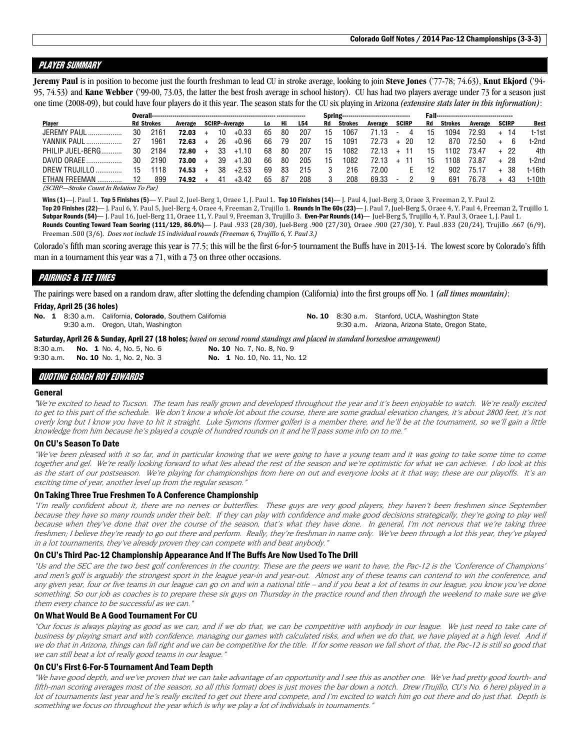### Player summary

**Jeremy Paul** is in position to become just the fourth freshman to lead CU in stroke average, looking to join **Steve Jones** ('77-78; 74.63), **Knut Ekjord** ('94- 95, 74.53) and **Kane Webber** ('99-00, 73.03, the latter the best frosh average in school history). CU has had two players average under 73 for a season just one time (2008-09), but could have four players do it this year. The season stats for the CU six playing in Arizona *(extensive stats later in this information)*:

|                    |    |                   |         |    |                      |     |    |     |    |                | Spring---------------------------------- |        |              |    |         |         |              |             |
|--------------------|----|-------------------|---------|----|----------------------|-----|----|-----|----|----------------|------------------------------------------|--------|--------------|----|---------|---------|--------------|-------------|
| <b>Plaver</b>      |    | <b>Rd Strokes</b> | Average |    | <b>SCIRP-Average</b> | Lo: | Hi | L54 | Rd | <b>Strokes</b> | Average                                  |        | <b>SCIRP</b> | Rd | Strokes | Average | <b>SCIRP</b> | <b>Best</b> |
| <b>JEREMY PAUL</b> | 30 | 2161              | 72.03   | 10 | $+0.33$              | 65  | 80 | 207 | 15 | 1067           | 71.13                                    | $\sim$ |              |    | 1094    | 72.93   | 14           | t-1st       |
| <b>YANNIK PAUL</b> | 27 | 1961              | 72.63   | 26 | $+0.96$              | 66  | 79 | 207 | 15 | 1091           | 72.73                                    |        | 20           | 12 | 870     | 72.50   |              | t-2nd       |
| PHILIP JUEL-BERG.  | 30 | 2184              | 72.80   | 33 | $+1.10$              | 68  | 80 | 207 | 15 | 1082           | 72.13                                    |        |              | 15 | 102     | 73.47   | + 22         | 4th         |
| DAVID ORAEE        | 30 | 2190              | 73.00   | 39 | $+1.30$              | 66  | 80 | 205 | 15 | 1082           | 72.13                                    |        |              | 15 | 108     | 73.87   | - 28         | t-2nd       |
| DREW TRUJILLO      | 15 | 118               | 74.53   | 38 | $+2.53$              | 69  | 83 | 215 |    | 216            | 72.00                                    |        |              | 12 | 902     | 75.17   | 38           | †-16th      |
| ETHAN FREEMAN      |    | 899               | 74.92   | 41 | $+3.42$              | 65  | 87 | 208 |    | 208            | 69.33                                    |        |              |    | 69      | 76.78   |              | t-10th      |

(SCIRP—Stroke Count In Relation To Par)

Wins (1)—J. Paul 1. Top 5 Finishes (5)—Y. Paul 2, Juel-Berg 1, Oraee 1, J. Paul 1. Top 10 Finishes (14)— J. Paul 4, Juel-Berg 3, Oraee 3, Freeman 2, Y. Paul 2.

Top 20 Finishes (22)— J. Paul 6, Y. Paul 5, Juel-Berg 4, Oraee 4, Freeman 2, Trujillo 1. Rounds In The 60s (23)— J. Paul 7, Juel-Berg 5, Oraee 4, Y. Paul 4, Freeman 2, Trujillo 1. Subpar Rounds (54)— J. Paul 16, Juel-Berg 11, Oraee 11, Y. Paul 9, Freeman 3, Trujillo 3. Even-Par Rounds (14)— Juel-Berg 5, Trujillo 4, Y. Paul 3, Oraee 1, J. Paul 1.

Rounds Counting Toward Team Scoring (111/129, 86.0%)— J. Paul .933 (28/30), Juel-Berg .900 (27/30), Oraee .900 (27/30), Y. Paul .833 (20/24), Trujillo .667 (6/9), Freeman .500 (3/6). *Does not include 15 individual rounds (Freeman 6, Trujillo 6, Y. Paul 3.)* 

Colorado's fifth man scoring average this year is 77.5; this will be the first 6-for-5 tournament the Buffs have in 2013-14. The lowest score by Colorado's fifth man in a tournament this year was a 71, with a 73 on three other occasions.

### PAIRINGS & TEE TIMES

The pairings were based on a random draw, after slotting the defending champion (California) into the first groups off No. 1 *(all times mountain)*: Friday, April 25 (36 holes)

| Friday, April 25 (36 noies) |                                                                                                 |                                                                                                                                                                                |  |                                                                                                      |
|-----------------------------|-------------------------------------------------------------------------------------------------|--------------------------------------------------------------------------------------------------------------------------------------------------------------------------------|--|------------------------------------------------------------------------------------------------------|
|                             | No. 1 8:30 a.m. California, Colorado, Southern California<br>9:30 a.m. Oregon, Utah, Washington |                                                                                                                                                                                |  | No. 10 8:30 a.m. Stanford, UCLA, Washington State<br>9:30 a.m. Arizona, Arizona State, Oregon State, |
|                             | 8:30 a.m. <b>No. 1</b> No. 4. No. 5. No. 6                                                      | <b>Saturday, April 26 &amp; Sunday, April 27 (18 holes;</b> based on second round standings and placed in standard horseshoe arrangement)<br><b>No. 10</b> No. 7, No. 8, No. 9 |  |                                                                                                      |

9:30 a.m. **No. 10** No. 1, No. 2, No. 3 **No. 1** No. 10, No. 11, No. 12

#### QUOTING COACH ROY EDWARDS

#### General

"We're excited to head to Tucson. The team has really grown and developed throughout the year and it's been enjoyable to watch. We're really excited to get to this part of the schedule. We don't know a whole lot about the course, there are some gradual elevation changes, it's about 2800 feet, it's not overly long but I know you have to hit it straight. Luke Symons (former golfer) is a member there, and he'll be at the tournament, so we'll gain a little knowledge from him because he's played a couple of hundred rounds on it and he'll pass some info on to me."

#### On CU's Season To Date

"We've been pleased with it so far, and in particular knowing that we were going to have a young team and it was going to take some time to come together and gel. We're really looking forward to what lies ahead the rest of the season and we're optimistic for what we can achieve. I do look at this as the start of our postseason. We're playing for championships from here on out and everyone looks at it that way; these are our playoffs. It's an exciting time of year, another level up from the regular season."

#### On Taking Three True Freshmen To A Conference Championship

"I'm really confident about it, there are no nerves or butterflies. These guys are very good players, they haven't been freshmen since September because they have so many rounds under their belt. If they can play with confidence and make good decisions strategically, they're going to play well because when they've done that over the course of the season, that's what they have done. In general, I'm not nervous that we're taking three freshmen; I believe they're ready to go out there and perform. Really, they're freshman in name only. We've been through a lot this year, they've played in a lot tournaments, they've already proven they can compete with and beat anybody."

#### On CU's Third Pac-12 Championship Appearance And If The Buffs Are Now Used To The Drill

"Us and the SEC are the two best golf conferences in the country. These are the peers we want to have, the Pac-12 is the 'Conference of Champions' and men's golf is arguably the strongest sport in the league year-in and year-out. Almost any of these teams can contend to win the conference, and any given year, four or five teams in our league can go on and win a national title – and if you beat a lot of teams in our league, you know you've done something. So our job as coaches is to prepare these six guys on Thursday in the practice round and then through the weekend to make sure we give them every chance to be successful as we can."

#### On What Would Be A Good Tournament For CU

"Our focus is always playing as good as we can, and if we do that, we can be competitive with anybody in our league. We just need to take care of business by playing smart and with confidence, managing our games with calculated risks, and when we do that, we have played at a high level. And if we do that in Arizona, things can fall right and we can be competitive for the title. If for some reason we fall short of that, the Pac-12 is still so good that we can still beat a lot of really good teams in our league.'

#### On CU's First 6-For-5 Tournament And Team Depth

"We have good depth, and we've proven that we can take advantage of an opportunity and I see this as another one. We've had pretty good fourth- and fifth-man scoring averages most of the season, so all (this format) does is just moves the bar down a notch. Drew (Trujillo, CU's No. 6 here) played in a lot of tournaments last year and he's really excited to get out there and compete, and I'm excited to watch him go out there and do just that. Depth is something we focus on throughout the year which is why we play a lot of individuals in tournaments."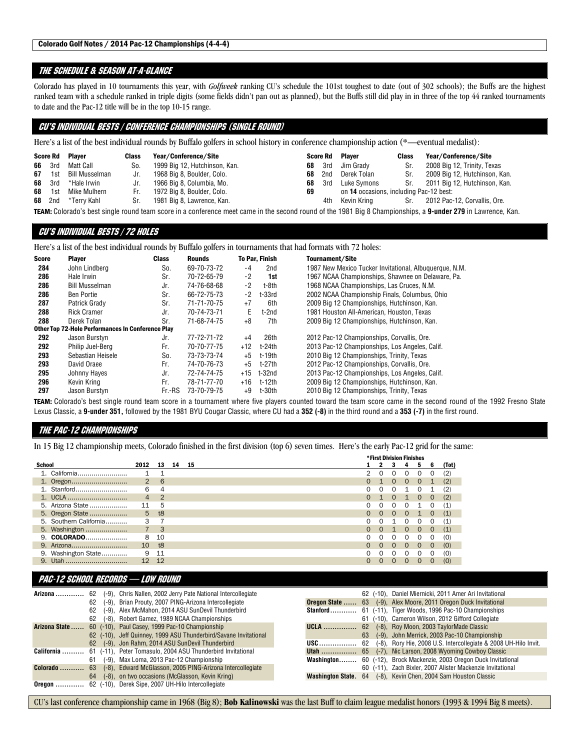#### The schedule & SEASON AT-A-GLANCE

Colorado has played in 10 tournaments this year, with *Golfweek* ranking CU's schedule the 101st toughest to date (out of 302 schools); the Buffs are the highest ranked team with a schedule ranked in triple digits (some fields didn't pan out as planned), but the Buffs still did play in in three of the top 44 ranked tournaments to date and the Pac-12 title will be in the top 10-15 range.

### CU's INDIVIDUAL BESTS / CONFERENCE CHAMPIONSHIPS (SINGLE ROUND)

Here's a list of the best individual rounds by Buffalo golfers in school history in conference championship action (\*—eventual medalist):

|    |               | <b>Score Rd Player</b> | <b>Class</b> | Year/Conference/Site          |    |      | <b>Score Rd</b> Plaver                  | <b>Class</b> | Year/Conference/Site          |
|----|---------------|------------------------|--------------|-------------------------------|----|------|-----------------------------------------|--------------|-------------------------------|
|    | 66 3rd        | Matt Call              | So.          | 1999 Big 12, Hutchinson, Kan. | 68 | 3rd  | Jim Gradv                               | Sr.          | 2008 Big 12, Trinity, Texas   |
| 67 | 1st           | Bill Musselman         | Jr.          | 1968 Big 8, Boulder, Colo.    | 68 | 2nd  | Derek Tolan                             | Sr.          | 2009 Big 12, Hutchinson, Kan. |
|    | <b>68</b> 3rd | *Hale Irwin            | Jr.          | 1966 Big 8, Columbia, Mo.     | 68 | 3rd  | Luke Symons                             | Sr.          | 2011 Big 12, Hutchinson, Kan. |
| 68 | 1st           | Mike Mulhern           | Fr.          | 1972 Big 8, Boulder, Colo.    | 69 |      | on 14 occasions, including Pac-12 best: |              |                               |
|    | <b>68</b> 2nd | *Terrv Kahl            | Sr.          | 1981 Big 8, Lawrence, Kan.    |    | 4th. | Kevin Krina                             | Sr.          | 2012 Pac-12, Corvallis, Ore.  |
|    |               |                        |              |                               |    |      |                                         |              |                               |

TEAM: Colorado's best single round team score in a conference meet came in the second round of the 1981 Big 8 Championships, a **9-under 279** in Lawrence, Kan.

### CU's INDIVIDUAL BESTS / 72 HOLES

Here's a list of the best individual rounds by Buffalo golfers in tournaments that had formats with 72 holes:

| <b>Score</b> | <b>Player</b>                                            | <b>Class</b> | Rounds      |       | <b>To Par, Finish</b> | Tournament/Site                                        |
|--------------|----------------------------------------------------------|--------------|-------------|-------|-----------------------|--------------------------------------------------------|
| 284          | John Lindberg                                            | So.          | 69-70-73-72 | -4    | 2nd                   | 1987 New Mexico Tucker Invitational, Albuguergue, N.M. |
| 286          | Hale Irwin                                               | Sr.          | 70-72-65-79 | $-2$  | 1st                   | 1967 NCAA Championships, Shawnee on Delaware, Pa.      |
| 286          | Bill Musselman                                           | Jr.          | 74-76-68-68 | $-2$  | t-8th                 | 1968 NCAA Championships, Las Cruces, N.M.              |
| 286          | Ben Portie                                               | Sr.          | 66-72-75-73 | $-2$  | $t-33rd$              | 2002 NCAA Championship Finals, Columbus, Ohio          |
| 287          | Patrick Grady                                            | Sr.          | 71-71-70-75 | $+7$  | 6th                   | 2009 Big 12 Championships, Hutchinson, Kan.            |
| 288          | <b>Rick Cramer</b>                                       | Jr.          | 70-74-73-71 | E.    | t-2nd                 | 1981 Houston All-American, Houston, Texas              |
| 288          | Derek Tolan                                              | Sr.          | 71-68-74-75 | $+8$  | 7th                   | 2009 Big 12 Championships, Hutchinson, Kan.            |
|              | <b>Other Top 72-Hole Performances In Conference Play</b> |              |             |       |                       |                                                        |
| 292          | Jason Burstyn                                            | Jr.          | 77-72-71-72 | $+4$  | 26th                  | 2012 Pac-12 Championships, Corvallis, Ore.             |
| 292          | Philip Juel-Berg                                         | Fr.          | 70-70-77-75 | $+12$ | t-24th                | 2013 Pac-12 Championships, Los Angeles, Calif.         |
| 293          | Sebastian Heisele                                        | So.          | 73-73-73-74 | $+5$  | t-19th                | 2010 Big 12 Championships, Trinity, Texas              |
| 293          | David Oraee                                              | Fr.          | 74-70-76-73 | $+5$  | t-27th                | 2012 Pac-12 Championships, Corvallis, Ore.             |
| 295          | Johnny Hayes                                             | Jr.          | 72-74-74-75 | $+15$ | t-32nd                | 2013 Pac-12 Championships, Los Angeles, Calif.         |
| 296          | Kevin Kring                                              | Fr.          | 78-71-77-70 | $+16$ | t-12th                | 2009 Big 12 Championships, Hutchinson, Kan.            |
| 297          | Jason Burstyn                                            | Fr.-RS       | 73-70-79-75 | +9    | t-30th                | 2010 Big 12 Championships, Trinity, Texas              |

TEAM: Colorado's best single round team score in a tournament where five players counted toward the team score came in the second round of the 1992 Fresno State Lexus Classic, a **9-under 351,** followed by the 1981 BYU Cougar Classic, where CU had a **352 (-8)** in the third round and a **353 (-7)** in the first round.

#### THE PAC-12 CHAMPIONSHIPS

In 15 Big 12 championship meets, Colorado finished in the first division (top 6) seven times. Here's the early Pac-12 grid for the same:

|               |                        |                |                         |    |    |          | <b>*First Division Finishes</b> |          |          |          |          |       |
|---------------|------------------------|----------------|-------------------------|----|----|----------|---------------------------------|----------|----------|----------|----------|-------|
| <b>School</b> |                        | 2012           | 13                      | 14 | 15 |          |                                 |          |          |          | 6        | (Tot) |
|               | 1. California          |                |                         |    |    | 2        | $\Omega$                        | 0        | 0        | 0        |          | (2)   |
|               |                        | $\overline{2}$ | 6                       |    |    |          |                                 | $\Omega$ | $\Omega$ | $\Omega$ |          | (2)   |
|               | 1. Stanford            | 6              | 4                       |    |    |          | 0                               | 0        |          | 0        |          | (2)   |
|               | 1. UCLA                | $\overline{4}$ | $\overline{2}$          |    |    | $\Omega$ |                                 | $\Omega$ |          | $\Omega$ | $\Omega$ | (2)   |
|               | 5. Arizona State       | 11             | 5                       |    |    |          | $\Omega$                        | 0        | 0        |          | 0        | (1)   |
|               | 5. Oregon State        | 5 <sup>5</sup> | t8                      |    |    | $\Omega$ | $\Omega$                        | $\Omega$ | $\Omega$ |          | $\Omega$ | (1)   |
|               | 5. Southern California | 3              |                         |    |    |          | $\Omega$                        |          | 0        | 0        | 0        | (1)   |
|               | 5. Washington          |                | $\overline{\mathbf{3}}$ |    |    |          | $\Omega$                        |          | 0        | $\Omega$ | $\Omega$ | (1)   |
|               | 9. COLORADO            | 8              | 10                      |    |    |          | 0                               | $\Omega$ | O        | 0        | 0        | (0)   |
|               |                        | 10             | t8                      |    |    |          | $\Omega$                        | $\Omega$ | $\Omega$ | $\Omega$ | $\Omega$ | (0)   |
|               | 9. Washington State    | 9              | 11                      |    |    |          | $\Omega$                        | ∩        | 0        | $\Omega$ | 0        | (0)   |
| 9.            | Utah                   | 12             | 12                      |    |    |          | $\Omega$                        |          | Ο        | $\Omega$ | $\Omega$ | (0)   |

#### PAC-12 SCHOOL RECORDS — LOW ROUND

|                             |    | Arizona  62 (-9), Chris Nallen, 2002 Jerry Pate National Intercollegiate |                          |    | 62 (-10), Daniel Miernicki, 2011 Amer Ari Invitational                  |
|-----------------------------|----|--------------------------------------------------------------------------|--------------------------|----|-------------------------------------------------------------------------|
|                             | 62 | (-9), Brian Prouty, 2007 PING-Arizona Intercollegiate                    |                          |    | <b>Oregon State </b> 63 (-9), Alex Moore, 2011 Oregon Duck Invitational |
|                             | 62 | (-9), Alex McMahon, 2014 ASU SunDevil Thunderbird                        | Stanford                 |    | 61 (-11), Tiger Woods, 1996 Pac-10 Championships                        |
|                             | 62 | (-8), Robert Gamez, 1989 NCAA Championships                              |                          | 61 | (-10), Cameron Wilson, 2012 Gifford Collegiate                          |
|                             |    | Arizona State  60 (-10), Paul Casey, 1999 Pac-10 Championship            | <b>UCLA</b>              |    | 62 (-8), Roy Moon, 2003 TaylorMade Classic                              |
|                             |    | 62 (-10), Jeff Quinney, 1999 ASU Thunderbird/Savane Invitational         |                          | 63 | (-9), John Merrick, 2003 Pac-10 Championship                            |
|                             |    | 62 (-9), Jon Rahm, 2014 ASU SunDevil Thunderbird                         | USC                      | 62 | (-8), Rory Hie, 2008 U.S. Intercollegiate & 2008 UH-Hilo Invit.         |
| California                  |    | 61 (-11), Peter Tomasulo, 2004 ASU Thunderbird Invitational              | Utah                     |    | 65 (-7), Nic Larson, 2008 Wyoming Cowboy Classic                        |
|                             | 61 | (-9), Max Loma, 2013 Pac-12 Championship                                 | Washington               |    | 60 (-12), Brock Mackenzie, 2003 Oregon Duck Invitational                |
| <b>Colorado  63</b>         |    | (-8), Edward McGlasson, 2005 PING-Arizona Intercollegiate                |                          |    | 60 (-11), Zach Bixler, 2007 Alister Mackenzie Invitational              |
|                             | 64 | (-8), on two occasions (McGlasson, Kevin Kring)                          | <b>Washington State.</b> | 64 | (-8), Kevin Chen, 2004 Sam Houston Classic                              |
| $O$ regon $\ldots$ $\ldots$ |    | 62 (-10), Derek Sipe, 2007 UH-Hilo Intercollegiate                       |                          |    |                                                                         |

CU's last conference championship came in 1968 (Big 8); **Bob Kalinowski** was the last Buff to claim league medalist honors (1993 & 1994 Big 8 meets).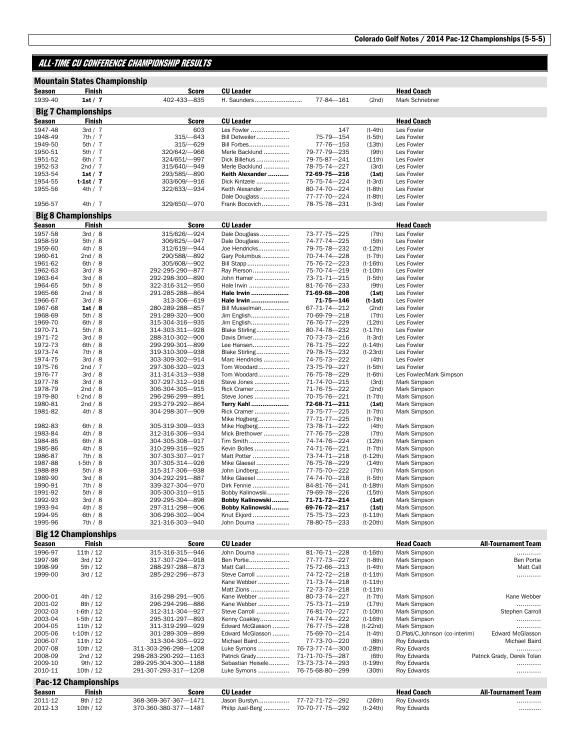### ALL-TIME CU CONFERENCE CHAMPIONSHIP RESULTS

|                    | <b>Mountain States Championship</b> |                                    |                                   |                              |                         |                                |                            |
|--------------------|-------------------------------------|------------------------------------|-----------------------------------|------------------------------|-------------------------|--------------------------------|----------------------------|
| Season             | Finish                              | <b>Score</b>                       | <b>CU Leader</b>                  |                              |                         | <b>Head Coach</b>              |                            |
| 1939-40            | 1st / 7                             | 402-433-835                        | H. Saunders                       | 77-84-161                    | (2nd)                   | Mark Schriebner                |                            |
|                    | <b>Big 7 Championships</b>          |                                    |                                   |                              |                         |                                |                            |
| Season             | Finish                              | <b>Score</b>                       | <b>CU Leader</b>                  |                              |                         | <b>Head Coach</b>              |                            |
| 1947-48            | 3rd / 7                             | 603                                | Les Fowler                        | 147                          | $(t-4th)$               | Les Fowler                     |                            |
| 1948-49            | 7th/7                               | 315/-643                           | Bill Detweiler                    | 75-79-154                    | $(t-5th)$               | Les Fowler                     |                            |
| 1949-50            | 5th/7                               | 315/-629                           | Bill Forbes                       | 77-76-153                    | (13th)                  | Les Fowler                     |                            |
| 1950-51<br>1951-52 | 5th/7<br>6th $/7$                   | 320/642/-966<br>324/651/-997       | Merle Backlund<br>Dick Billehus   | 79-77-79-235<br>79-75-87-241 | (9th)<br>(11th)         | Les Fowler<br>Les Fowler       |                            |
| 1952-53            | 2nd / 7                             | 315/640/-949                       | Merle Backlund                    | 78-75-74-227                 | (3rd)                   | Les Fowler                     |                            |
| 1953-54            | 1st $/7$                            | 293/585/-890                       | Keith Alexander                   | 72-69-75-216                 | (1st)                   | Les Fowler                     |                            |
| 1954-55            | t-1st / 7                           | 303/609/-916                       | Dick Kintzele                     | 75-75-74-224                 | $(t-3rd)$               | Les Fowler                     |                            |
| 1955-56            | 4th / 7                             | 322/633/-934                       | Keith Alexander                   | 80-74-70-224                 | $(t-8th)$               | Les Fowler                     |                            |
|                    |                                     |                                    | Dale Douglass                     | 77-77-70-224                 | $(t-8th)$               | Les Fowler                     |                            |
| 1956-57            | 4th / 7                             | 329/650/-970                       | Frank Bocovich                    | 78-75-78-231                 | $(t-3rd)$               | Les Fowler                     |                            |
|                    | <b>Big 8 Championships</b>          |                                    |                                   |                              |                         |                                |                            |
| Season             | Finish                              | <b>Score</b>                       | <b>CU Leader</b>                  |                              |                         | <b>Head Coach</b>              |                            |
| 1957-58            | 3rd / 8                             | 315/626/-924                       | Dale Douglass                     | 73-77-75-225                 | (7th)                   | Les Fowler                     |                            |
| 1958-59            | 5th/8                               | 306/625/-947                       | Dale Douglass                     | 74-77-74-225                 | (5th)                   | Les Fowler                     |                            |
| 1959-60            | 4th / 8                             | 312/619/-944                       | Joe Hendricks                     | 79-75-78-232                 | $(t-12th)$              | Les Fowler                     |                            |
| 1960-61<br>1961-62 | 2nd / 8<br>6th/8                    | 290/588/-892<br>305/608/-902       | Gary Polumbus<br>Bill Stapp       | 70-74-74-228<br>75-76-72-223 | (t-7th)<br>(t-16th)     | Les Fowler<br>Les Fowler       |                            |
| 1962-63            | 3rd / 8                             | 292-295-290-877                    | Ray Pierson                       | 75-70-74-219                 | $(t-10th)$              | Les Fowler                     |                            |
| 1963-64            | 3rd / 8                             | 292-298-300-890                    | John Hamer                        | 73-71-71-215                 | $(t-5th)$               | Les Fowler                     |                            |
| 1964-65            | 5th/8                               | 322-316-312-950                    | Hale Irwin                        | 81-76-76-233                 | (9th)                   | Les Fowler                     |                            |
| 1965-66            | 2nd / 8                             | 291-285-288-864                    | Hale Irwin                        | 71-69-68-208                 | (1st)                   | Les Fowler                     |                            |
| 1966-67            | 3rd / 8                             | 313-306-619                        | Hale Irwin                        | 71-75—146                    | (t-1st)                 | Les Fowler                     |                            |
| 1967-68            | 1st/8                               | 280-289-288-857                    | Bill Musselman                    | 67-71-74-212                 | (2nd)                   | Les Fowler                     |                            |
| 1968-69            | 5th / 8                             | 291-289-320-900                    | Jim English                       | 70-69-79-218                 | (7th)                   | Les Fowler                     |                            |
| 1969-70<br>1970-71 | 6th / 8<br>5th / 8                  | 315-304-316-935<br>314-303-311-928 | Jim English<br>Blake Stirling     | 76-76-77-229<br>80-74-78-232 | (12th)<br>$(t-17th)$    | Les Fowler<br>Les Fowler       |                            |
| 1971-72            | 3rd / 8                             | 288-310-302-900                    | Davis Driver                      | 70-73-73-216                 | $(t-3rd)$               | Les Fowler                     |                            |
| 1972-73            | 6th / 8                             | 299-299-301-899                    | Lee Hansen                        | 76-71-75-222                 | $(t-14th)$              | Les Fowler                     |                            |
| 1973-74            | 7th/8                               | 319-310-309-938                    | Blake Stirling                    | 79-78-75-232                 | $(t-23rd)$              | Les Fowler                     |                            |
| 1974-75            | 3rd / 8                             | 303-309-302-914                    | Marc Hendricks                    | 74-75-73-222                 | (4th)                   | Les Fowler                     |                            |
| 1975-76            | 2nd / 7                             | 297-306-320-923                    | Tom Woodard                       | 73-75-79-227                 | (t-5th)                 | Les Fowler                     |                            |
| 1976-77            | 3rd / 8                             | 311-314-313-938                    | Tom Woodard<br>Steve Jones        | 76-75-78-229                 | $(t-6th)$               | Les Fowler/Mark Simpson        |                            |
| 1977-78<br>1978-79 | 3rd / 8<br>2nd / 8                  | 307-297-312-916<br>306-304-305-915 | Rick Cramer                       | 71-74-70-215<br>71-76-75-222 | (3rd)<br>(2nd)          | Mark Simpson<br>Mark Simpson   |                            |
| 1979-80            | $t-2nd/8$                           | 296-296-299-891                    | Steve Jones                       | 70-75-76-221                 | (t-7th)                 | Mark Simpson                   |                            |
| 1980-81            | 2nd / 8                             | 293-279-292-864                    | Terry Kahl                        | 72-68-71-211                 | (1st)                   | Mark Simpson                   |                            |
| 1981-82            | 4th / 8                             | 304-298-307-909                    | Rick Cramer                       | 73-75-77-225                 | (t-7th)                 | Mark Simpson                   |                            |
|                    |                                     |                                    | Mike Hogberg                      | 77-71-77-225                 | $(t-7th)$               |                                |                            |
| 1982-83            | 6th/8                               | 305-319-309-933                    | Mike Hogberg                      | 73-78-71-222                 | (4th)                   | Mark Simpson                   |                            |
| 1983-84            | 4th / 8                             | 312-316-306-934                    | Mick Brethower                    | 77-76-75-228                 | (7th)                   | Mark Simpson                   |                            |
| 1984-85<br>1985-86 | 6th / 8<br>4th / 8                  | 304-305-308-917<br>310-299-316-925 | Tim Smith<br>Kevin Bolles         | 74-74-76-224<br>74-71-76-221 | (12th)<br>(t-7th)       | Mark Simpson<br>Mark Simpson   |                            |
| 1986-87            | 7th/8                               | 307-303-307-917                    | Matt Potter                       | 73-74-71-218                 | $(t-12th)$              | Mark Simpson                   |                            |
| 1987-88            | $t-5th/8$                           | 307-305-314-926                    | Mike Glaesel                      | 76-75-78-229                 | (14th)                  | Mark Simpson                   |                            |
| 1988-89            | 5th/8                               | 315-317-306-938                    | John Lindberg                     | 77-75-70-222                 | (7th)                   | Mark Simpson                   |                            |
| 1989-90            | 3rd / 8                             | 304-292-291-887                    | Mike Glaesel                      | 74-74-70-218                 | $(t-5th)$               | Mark Simpson                   |                            |
| 1990-91            | 7th / 8                             | 339-327-304-970                    | Dirk Fennie                       | 84-81-76-241                 | $(t-18th)$              | Mark Simpson                   |                            |
| 1991-92            | 5th/8                               | 305-300-310-915                    | Bobby Kalinowski                  | 79-69-78-226                 | (15th)                  | Mark Simpson                   |                            |
| 1992-93<br>1993-94 | 3rd / 8                             | 299-295-304-898<br>297-311-298-906 | Bobby Kalinowski                  | 71-71-72-214<br>69-76-72-217 | (1st)                   | Mark Simpson                   |                            |
| 1994-95            | 4th / 8<br>6th / 8                  | 306-296-302-904                    | Bobby Kalinowski<br>Knut Ekjord   | 75-75-73-223                 | (1st)<br>$(t-11th)$     | Mark Simpson<br>Mark Simpson   |                            |
| 1995-96            | 7th/8                               | 321-316-303-940                    | John Douma                        | 78-80-75-233                 | $(t-20th)$              | Mark Simpson                   |                            |
|                    |                                     |                                    |                                   |                              |                         |                                |                            |
|                    | <b>Big 12 Championships</b>         |                                    |                                   |                              |                         |                                |                            |
| <u>Season</u>      | Finish                              | <b>Score</b>                       | <b>CU Leader</b>                  |                              |                         | <b>Head Coach</b>              | <b>All-Tournament Team</b> |
| 1996-97<br>1997-98 | 11th/12<br>3rd / 12                 | 315-316-315-946<br>317-307-294-918 | John Douma<br>Ben Portie          | 81-76-71-228<br>77-77-73-227 | $(t-16th)$<br>$(t-8th)$ | Mark Simpson<br>Mark Simpson   | .<br>Ben Portie            |
| 1998-99            | 5th / 12                            | 288-297-288-873                    | Matt Call                         | 75-72-66-213                 | $(t-4th)$               | Mark Simpson                   | Matt Call                  |
| 1999-00            | 3rd / 12                            | 285-292-296-873                    | Steve Carroll                     | 74-72-72-218                 | $(t-11th)$              | Mark Simpson                   | .                          |
|                    |                                     |                                    | Kane Webber                       | 71-73-74-218                 | $(t-11th)$              |                                |                            |
|                    |                                     |                                    | Matt Zions                        | 72-73-73-218                 | $(t-11th)$              |                                |                            |
| 2000-01            | 4th / 12                            | 316-298-291-905                    | Kane Webber                       | 80-73-74-227                 | (t-7th)                 | Mark Simpson                   | Kane Webber                |
| 2001-02            | 8th / 12                            | 296-294-296-886                    | Kane Webber                       | 75-73-71-219                 | (17th)                  | Mark Simpson                   | .                          |
| 2002-03            | t-6th / 12                          | 312-311-304-927                    | Steve Carroll                     | 76-81-70-227                 | $(t-10th)$              | Mark Simpson                   | Stephen Carroll            |
| 2003-04<br>2004-05 | t-5th / 12<br>11th/12               | 295-301-297-893<br>311-319-299-929 | Kenny Coakley<br>Edward McGlasson | 74-74-74-222<br>76-77-75-228 | $(t-16th)$<br>(t-22nd)  | Mark Simpson<br>Mark Simpson   | .<br>.                     |
| 2005-06            | t-10th / 12                         | 301-289-309-899                    | Edward McGlasson                  | 75-69-70-214                 | $(t-4th)$               | D.Plati/C.Johnson (co-interim) | <b>Edward McGlasson</b>    |
| 2006-07            | 11th/12                             | 313-304-305-922                    | Michael Baird                     | 77-73-70-220                 | (8th)                   | Roy Edwards                    | Michael Baird              |
| 2007-08            | 10th/12                             | 311-303-296-298-1208               | Luke Symons                       | 76-73-77-74-300              | (t-28th)                | Roy Edwards                    | .                          |
| 2008-09            | 2nd / 12                            | 298-283-290-292-1163               | Patrick Grady                     | 71-71-70-75-287              | (6th)                   | Roy Edwards                    | Patrick Grady, Derek Tolan |
| 2009-10            | 9th / 12                            | 289-295-304-300-1188               | Sebastian Heisele                 | 73-73-73-74-293              | $(t-19th)$              | Roy Edwards                    | .                          |
| 2010-11            | 10th/12                             | 291-307-293-317-1208               | Luke Symons                       | 76-75-68-80-299              | (30th)                  | Roy Edwards                    | .                          |
|                    | <b>Pac-12 Championships</b>         |                                    |                                   |                              |                         |                                |                            |
| <u>Season</u>      | Finish                              | <b>Score</b>                       | <b>CU Leader</b>                  |                              |                         | <b>Head Coach</b>              | <b>All-Tournament Team</b> |
| 2011-12            | 8th / 12                            | 368-369-367-367-1471               | Jason Burstyn                     | 77-72-71-72-292              | (26th)                  | Roy Edwards                    | .                          |
| 2012-13            | 10th / 12                           | 370-360-380-377-1487               | Philip Juel-Berg                  | 70-70-77-75-292              | $(t-24th)$              | Roy Edwards                    |                            |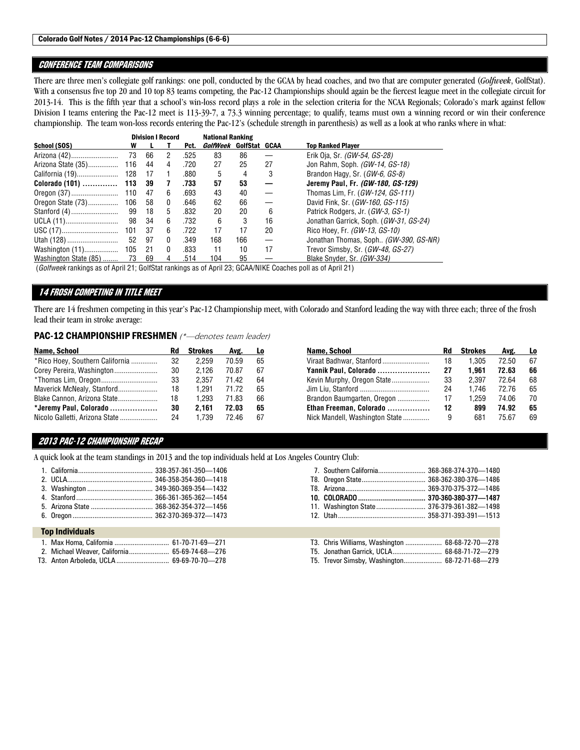#### Colorado Golf Notes / 2014 Pac-12 Championships (6-6-6)

#### CONFERENCE TEAM COMPARISONS

There are three men's collegiate golf rankings: one poll, conducted by the GCAA by head coaches, and two that are computer generated (*Golfweek*, GolfStat). With a consensus five top 20 and 10 top 83 teams competing, the Pac-12 Championships should again be the fiercest league meet in the collegiate circuit for 2013-14. This is the fifth year that a school's win-loss record plays a role in the selection criteria for the NCAA Regionals; Colorado's mark against fellow Division I teams entering the Pac-12 meet is 113-39-7, a 73.3 winning percentage; to qualify, teams must own a winning record or win their conference championship. The team won-loss records entering the Pac-12's (schedule strength in parenthesis) as well as a look at who ranks where in what:

|                       |     | <b>Division I Record</b> |              | <b>National Ranking</b> |                        |     |    |                                        |  |  |
|-----------------------|-----|--------------------------|--------------|-------------------------|------------------------|-----|----|----------------------------------------|--|--|
| School (SOS)          | W   |                          |              | Pct.                    | GolfWeek GolfStat GCAA |     |    | <b>Top Ranked Player</b>               |  |  |
| Arizona (42)          | 73  | 66                       | $\mathbf{2}$ | .525                    | 83                     | 86  |    | Erik Oja, Sr. <i>(GW-54, GS-28)</i>    |  |  |
| Arizona State (35)    | 116 | 44                       | 4            | .720                    | 27                     | 25  | 27 | Jon Rahm, Soph. (GW-14, GS-18)         |  |  |
|                       |     | - 17                     |              | .880                    | 5                      | 4   | 3  | Brandon Hagy, Sr. (GW-6, GS-8)         |  |  |
|                       |     | 39                       | 7            | .733                    | 57                     | 53  |    | Jeremy Paul, Fr. (GW-180, GS-129)      |  |  |
|                       |     | 47                       | 6            | .693                    | 43                     | 40  |    | Thomas Lim, Fr. (GW-124, GS-111)       |  |  |
|                       |     | 58                       | 0            | .646                    | 62                     | 66  |    | David Fink, Sr. (GW-160, GS-115)       |  |  |
|                       |     | - 18                     | 5            | .832                    | 20                     | 20  | 6  | Patrick Rodgers, Jr. (GW-3, GS-1)      |  |  |
| UCLA (11)             | 98  | 34                       | 6            | .732                    | 6                      | 3   | 16 | Jonathan Garrick, Soph. (GW-31, GS-24) |  |  |
|                       |     | 37                       | 6            | .722                    | 17                     | 17  | 20 | Rico Hoey, Fr. (GW-13, GS-10)          |  |  |
| Utah (128)            | 52  | 97                       | 0            | .349                    | 168                    | 166 |    | Jonathan Thomas, Soph (GW-390, GS-NR)  |  |  |
|                       |     | 21                       | $\mathbf{0}$ | .833                    | 11                     | 10  | 17 | Trevor Simsby, Sr. (GW-48, GS-27)      |  |  |
| Washington State (85) | 73  | 69                       | 4            | .514                    | 104                    | 95  |    | Blake Snyder, Sr. (GW-334)             |  |  |

(*Golfweek* rankings as of April 21; GolfStat rankings as of April 23; GCAA/NIKE Coaches poll as of April 21)

#### 14 FROSH COMPETING IN TITLE MEET

There are 14 freshmen competing in this year's Pac-12 Championship meet, with Colorado and Stanford leading the way with three each; three of the frosh lead their team in stroke average:

PAC-12 CHAMPIONSHIP FRESHMEN (\*-denotes team leader)

| Name, School                    | Rd | <b>Strokes</b> | Avg.  | L0 |
|---------------------------------|----|----------------|-------|----|
| *Rico Hoey, Southern California | 32 | 2.259          | 70.59 | 65 |
| Corey Pereira, Washington       | 30 | 2.126          | 70.87 | 67 |
|                                 | 33 | 2.357          | 7142  | 64 |
| Maverick McNealy, Stanford      | 18 | 1.291          | 71 72 | 65 |
| Blake Cannon, Arizona State     | 18 | 1.293          | 71.83 | 66 |
| *Jeremy Paul, Colorado          | 30 | 2.161          | 72.03 | 65 |
| Nicolo Galletti, Arizona State  | 24 | 1.739          | 7246  | 67 |

| Name, School                   | Rd | <b>Strokes</b> | Avg.  | Lo. |
|--------------------------------|----|----------------|-------|-----|
| Viraat Badhwar, Stanford       | 18 | 1.305          | 72.50 | 67  |
| Yannik Paul, Colorado          | 27 | 1.961          | 72.63 | 66  |
| Kevin Murphy, Oregon State     | 33 | 2.397          | 7264  | 68  |
|                                | 24 | 1.746          | 72 76 | 65  |
| Brandon Baumgarten, Oregon     | 17 | 1.259          | 74.06 | 70  |
| Ethan Freeman, Colorado        | 12 | 899            | 74.92 | 65  |
| Nick Mandell, Washington State | 9  | 681            | 7567  | 69  |

#### 2013 PAC-12 CHAMPIONSHIP RECAP

A quick look at the team standings in 2013 and the top individuals held at Los Angeles Country Club:

#### Top Individuals

|  | 1. Max Homa, California  61-70-71-69-271      |  |
|--|-----------------------------------------------|--|
|  |                                               |  |
|  | 2. Michael Weaver, California 65-69-74-68-276 |  |
|  |                                               |  |

T3. Anton Arboleda, UCLA ............................. 69-69-70-70—278

| 7. Southern California 368-368-374-370-1480 |  |
|---------------------------------------------|--|
|                                             |  |
|                                             |  |
|                                             |  |
|                                             |  |
| 11. Washington State 376-379-361-382-1498   |  |
|                                             |  |

| T3. Chris Williams, Washington  68-68-72-70-278         |          |  |
|---------------------------------------------------------|----------|--|
| T5. Jonathan Garrick, UCLA 68-68-71-72-279              |          |  |
| $\tau$ $\tau$ $\sim$ $\tau$ $\sim$ $\tau$ $\sim$ $\tau$ | 0.707100 |  |

T5. Trevor Simsby, Washington ..................... 68-72-71-68—279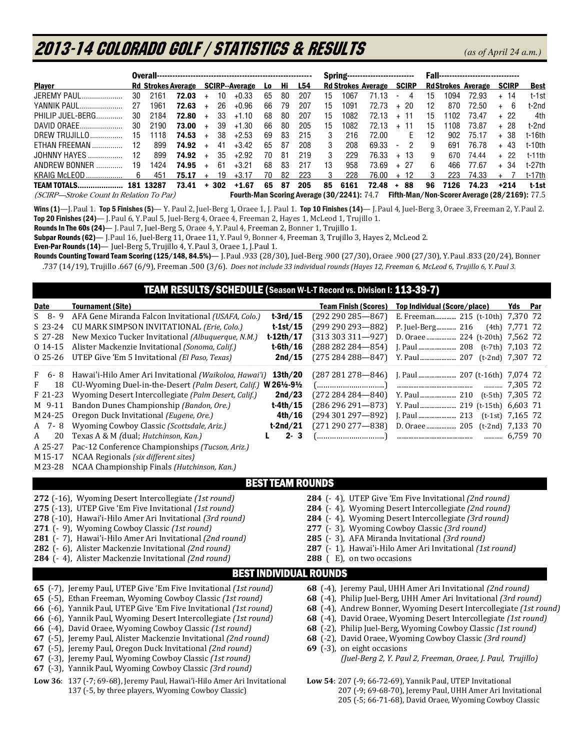# 2013-14 COLORADO GOLF / Statistics & Results*(as of April 24 a.m.)*

|                                         |                                   |           |               |            |     |                                                     |     |     |                                 | <b>Spring---------------------------</b> |      |       |                          |        |    | <b>Fall--------------------------------</b> |                                                   |                   |         |  |  |  |  |
|-----------------------------------------|-----------------------------------|-----------|---------------|------------|-----|-----------------------------------------------------|-----|-----|---------------------------------|------------------------------------------|------|-------|--------------------------|--------|----|---------------------------------------------|---------------------------------------------------|-------------------|---------|--|--|--|--|
| <b>Player</b>                           | Rd Strokes Average SCIRP--Average |           |               |            | L0  | .Hi                                                 | L54 |     | <b>Rd Strokes Average SCIRP</b> |                                          |      |       | <b>RdStrokes Average</b> |        |    | <b>SCIRP</b>                                | <b>Best</b>                                       |                   |         |  |  |  |  |
| JEREMY PAUL                             | 30                                | 2161      | 72.03         | $\ddot{}$  | 10  | $+0.33$                                             | 65  | -80 | 207                             | 15                                       | 1067 | 71.13 | $\overline{\phantom{a}}$ | 4      | 15 | 1094                                        | 72.93                                             | + 14              | t-1st   |  |  |  |  |
| YANNIK PAUL                             | 27                                | 1961      | 72.63         | $\ddot{+}$ | 26. | $+0.96$                                             | 66  | 79  | 207                             | 15                                       | 1091 | 72.73 |                          | $+20$  | 12 | 870                                         | 72.50                                             | + 6               | t-2nd   |  |  |  |  |
| PHILIP JUFL-BERG.                       | 30                                | 2184      | 72.80         | $+$        | 33  | $+1.10$                                             | 68  | 80  | 207                             | 15                                       | 1082 | 72.13 |                          | $+$ 11 | 15 | 1102                                        | 73.47                                             | + 22              | 4th     |  |  |  |  |
| DAVID ORAEE                             | 30                                | 2190      | 73.00         | $+$        | 39  | $+1.30$                                             | 66  | 80  | 205                             | 15                                       | 1082 | 72.13 |                          | $+$ 11 | 15 | 1108                                        | 73.87                                             | + 28              | t-2nd   |  |  |  |  |
| DREW TRUJILLO                           | 15                                | 1118      | 74.53         | $+$        | 38  | $+2.53$                                             | 69  | 83  | 215                             | 3                                        | 216  | 72.00 |                          | F.     | 12 | 902                                         | 75.17                                             | + 38              | t-16th  |  |  |  |  |
| ETHAN FREEMAN                           | 12                                | 899       | 74.92         | $\ddot{}$  | 41  | $+3.42$                                             | 65  | 87  | 208                             | 3                                        | 208  | 69.33 | $\sim$                   | 2      | 9  | 691                                         | 76.78                                             | + 43              | t-10th  |  |  |  |  |
| JOHNNY HAYES                            | 12.                               | 899       | 74.92         | $+$        | 35  | $+2.92$                                             | 70  | -81 | 219                             | 3                                        | 229  | 76.33 |                          | $+13$  | 9  | 670                                         | 74 44                                             | $+22$             | t-11th  |  |  |  |  |
| ANDREW BONNER                           | 19                                | 1424      | 74.95         | $\ddot{}$  | 61  | $+3.21$                                             | 68  | 83  | 217                             | 13                                       | 958  | 73.69 |                          | $+ 27$ | 6. | 466                                         | 77.67                                             | $+34$             | t-27th  |  |  |  |  |
| KRAIG McLEOD                            | 6                                 | 451       | 75.17         | $\ddot{}$  | 19  | $+3.17$                                             | 70  | 82  | 223                             | 3                                        | 228  | 76.00 |                          | $+12$  | 3  | 223                                         | 74.33                                             | $+$ $\frac{1}{2}$ | t-17th  |  |  |  |  |
| <b>TEAM TOTALS</b>                      |                                   | 181 13287 | $73.41 + 302$ |            |     | +1.67                                               | 65  | 87  | 205                             | 85                                       | 6161 | 72.48 |                          | + 88   | 96 | 7126                                        | 74.23                                             | $+214$            | $1-1st$ |  |  |  |  |
| (SCIRP—Stroke Count In Relation To Par) |                                   |           |               |            |     | <b>Fourth Man Scoring Average (30/2241):</b> $74.7$ |     |     |                                 |                                          |      |       |                          |        |    |                                             | $F$ ifth.Man/Non.Scorer Average (28/2169): $77.5$ |                   |         |  |  |  |  |

(SCIRP—Stroke Count In Relation To Par) **Fourth-Man Scoring Average (30/2241):** 74.7 **Fifth-Man/Non-Scorer Average (28/2169):** 77.5

Wins (1)—J. Paul 1. Top 5 Finishes (5)— Y. Paul 2, Juel-Berg 1, Oraee 1, J. Paul 1. Top 10 Finishes (14)— J. Paul 4, Juel-Berg 3, Oraee 3, Freeman 2, Y. Paul 2. Top 20 Finishes (24)— J.Paul 6, Y.Paul 5, Juel-Berg 4, Oraee 4, Freeman 2, Hayes 1, McLeod 1, Trujillo 1.

Rounds In The 60s (24)- J. Paul 7, Juel-Berg 5, Oraee 4, Y. Paul 4, Freeman 2, Bonner 1, Trujillo 1.

Subpar Rounds (62)— J. Paul 16, Juel-Berg 11, Oraee 11, Y. Paul 9, Bonner 4, Freeman 3, Trujillo 3, Hayes 2, McLeod 2.

Even-Par Rounds (14)— Juel-Berg 5, Trujillo 4, Y.Paul 3, Oraee 1, J.Paul 1.

Rounds Counting Toward Team Scoring (125/148, 84.5%)— J.Paul .933 (28/30), Juel-Berg .900 (27/30), Oraee .900 (27/30), Y.Paul .833 (20/24), Bonner .737 (14/19), Trujillo .667 (6/9), Freeman .500 (3/6). *Does not include 33 individual rounds (Hayes 12, Freeman 6, McLeod 6, Trujillo 6, Y.Paul 3.* 

### TEAM RESULTS/SCHEDULE (Season W-L-T Record vs. Division I: 113-39-7)

| <b>Date</b>  | <b>Tournament (Site)</b>                                                 | <b>Team Finish (Scores)</b>         | Top Individual (Score/place)                                       | Yds Par            |
|--------------|--------------------------------------------------------------------------|-------------------------------------|--------------------------------------------------------------------|--------------------|
| $S_8 - 9$    | AFA Gene Miranda Falcon Invitational (USAFA, Colo.)                      | $t-3rd/15$<br>$(292 290 285 - 867)$ | E. Freeman 215 (t-10th) 7,370 72                                   |                    |
| $S$ 23-24    | CU MARK SIMPSON INVITATIONAL (Erie, Colo.)                               | $(299 290 293 - 882)$<br>$t-1st/15$ | P. Juel-Berg 216                                                   | $(4th)$ 7,771 72   |
| $S$ 27-28    | New Mexico Tucker Invitational (Albuquerque, N.M.)                       | $t-12th/17$<br>$(313303311 - 927)$  | D. Oraee  224 (t-20th) 7,562 72                                    |                    |
| $014-15$     | Alister Mackenzie Invitational (Sonoma, Calif.)                          | $t$ -6th/16<br>$(288282284 - 854)$  |                                                                    |                    |
| 0 25-26      | UTEP Give 'Em 5 Invitational (El Paso, Texas)                            | 2nd/15<br>$(275284288 - 847)$       |                                                                    |                    |
| F<br>$6 - 8$ | Hawai'i-Hilo Amer Ari Invitational (Waikoloa, Hawai'i)                   | $(287281278 - 846)$<br>13th/20      |                                                                    |                    |
| F<br>18      | CU-Wyoming Duel-in-the-Desert (Palm Desert, Calif.) W 26½-9½             | ()]                                 |                                                                    | 7,305 72           |
| F 21-23      | Wyoming Desert Intercollegiate (Palm Desert, Calif.)                     | 2nd/23<br>$(272284284 - 840)$       |                                                                    |                    |
| M 9-11       | Bandon Dunes Championship (Bandon, Ore.)                                 | $t-4th/15$<br>$(286296291 - 873)$   | Y. Paul 219 (t-15th) 6,603 71                                      |                    |
| M 24-25      | Oregon Duck Invitational (Eugene, Ore.)                                  | 4th/16<br>$(294301297 - 892)$       |                                                                    | $(t-1st)$ 7,165 72 |
| A 7-8        | Wyoming Cowboy Classic (Scottsdale, Ariz.)                               | $(271290277 - 838)$<br>t-2nd/21     | D. Oraee  205 (t-2nd) 7,133 70                                     |                    |
| 20<br>A      | Texas A & M (dual; Hutchinson, Kan.)                                     | $2 - 3$<br>()]                      |                                                                    |                    |
| A 25-27      | Pac-12 Conference Championships (Tucson, Ariz.)                          |                                     |                                                                    |                    |
| M15-17       | NCAA Regionals (six different sites)                                     |                                     |                                                                    |                    |
| M23-28       | NCAA Championship Finals (Hutchinson, Kan.)                              |                                     |                                                                    |                    |
|              |                                                                          | <b>BEST TEAM ROUNDS</b>             |                                                                    |                    |
|              | 272 (-16), Wyoming Desert Intercollegiate (1st round)                    |                                     | 284 (-4), UTEP Give 'Em Five Invitational (2nd round)              |                    |
|              | 275 (-13), UTEP Give 'Em Five Invitational (1st round)                   |                                     | 284 (-4), Wyoming Desert Intercollegiate (2nd round)               |                    |
|              | 278 (-10), Hawai'i-Hilo Amer Ari Invitational (3rd round)                |                                     | 284 (-4), Wyoming Desert Intercollegiate (3rd round)               |                    |
|              | 271 (- 9), Wyoming Cowboy Classic (1st round)                            |                                     | 277 (- 3), Wyoming Cowboy Classic (3rd round)                      |                    |
|              | 281 (-7), Hawai'i-Hilo Amer Ari Invitational (2nd round)                 |                                     | 285 (- 3), AFA Miranda Invitational (3rd round)                    |                    |
|              | 282 (- 6), Alister Mackenzie Invitational (2nd round)                    |                                     | 287 (- 1), Hawai'i-Hilo Amer Ari Invitational (1st round)          |                    |
|              | 284 (-4), Alister Mackenzie Invitational (2nd round)                     | 288 (E), on two occasions           |                                                                    |                    |
|              |                                                                          | <b>BEST INDIVIDUAL ROUNDS</b>       |                                                                    |                    |
|              | 65 (-7), Jeremy Paul, UTEP Give 'Em Five Invitational (1st round)        |                                     | 68 (-4), Jeremy Paul, UHH Amer Ari Invitational (2nd round)        |                    |
|              | 65 (-5), Ethan Freeman, Wyoming Cowboy Classic (1st round)               |                                     | 68 (-4), Philip Juel-Berg, UHH Amer Ari Invitational (3rd round)   |                    |
|              | 66 (-6), Yannik Paul, UTEP Give 'Em Five Invitational (1st round)        |                                     | 68 (-4), Andrew Bonner, Wyoming Desert Intercollegiate (1st round) |                    |
|              | 66 (-6), Yannik Paul, Wyoming Desert Intercollegiate (1st round)         |                                     | 68 (-4), David Oraee, Wyoming Desert Intercollegiate (1st round)   |                    |
|              | 66 (-4), David Oraee, Wyoming Cowboy Classic (1st round)                 |                                     | 68 (-2), Philip Juel-Berg, Wyoming Cowboy Classic (1st round)      |                    |
|              | 67 (-5), Jeremy Paul, Alister Mackenzie Invitational (2nd round)         |                                     | 68 (-2), David Oraee, Wyoming Cowboy Classic (3rd round)           |                    |
|              | 67 (-5), Jeremy Paul, Oregon Duck Invitational (2nd round)               | 69 (-3), on eight occasions         |                                                                    |                    |
|              | 67 (-3), Jeremy Paul, Wyoming Cowboy Classic (1st round)                 |                                     | (Juel-Berg 2, Y. Paul 2, Freeman, Oraee, J. Paul, Trujillo)        |                    |
|              | 67 (-3), Yannik Paul, Wyoming Cowboy Classic (3rd round)                 |                                     |                                                                    |                    |
|              | Low 36: 137 (-7; 69-68), Jeremy Paul, Hawai'i-Hilo Amer Ari Invitational |                                     | Low 54: 207 (-9; 66-72-69), Yannik Paul, UTEP Invitational         |                    |

- 137 (-5, by three players, Wyoming Cowboy Classic) 207 (-9; 69-68-70), Jeremy Paul, UHH Amer Ari Invitational
	- 205 (-5; 66-71-68), David Oraee, Wyoming Cowboy Classic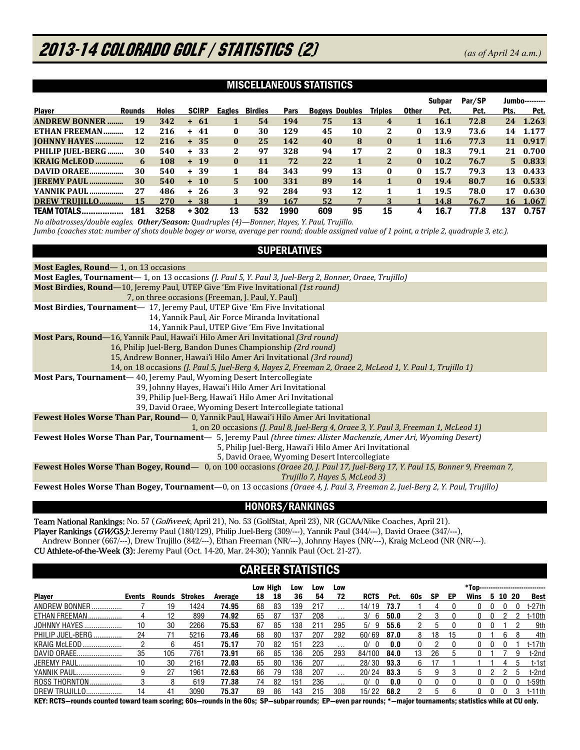# 2013-14 COLORADO GOLF / STATISTICS (2) *(as of April 24 a.m.)*

#### MISCELLANEOUS STATISTICS

|                      |               |              |                  |          |                |      |     |                       |                |              | Subpar      | Par/SP |      | <b>Jumbo---------</b> |
|----------------------|---------------|--------------|------------------|----------|----------------|------|-----|-----------------------|----------------|--------------|-------------|--------|------|-----------------------|
| <b>Player</b>        | <b>Rounds</b> | <b>Holes</b> | <b>SCIRP</b>     | Eagles   | <b>Birdies</b> | Pars |     | <b>Bogevs Doubles</b> | Triples        | <b>Other</b> | Pct.        | Pct.   | Pts. | Pct.                  |
| <b>ANDREW BONNER</b> | 19            | 342          | -61<br>$+$       |          | 54             | 194  | 75  | 13                    | 4              | 1            | <b>16.1</b> | 72.8   | 24   | 1.263                 |
| ETHAN FREEMAN        | 12            | 216          | 41<br>÷.         | 0        | 30             | 129  | 45  | 10                    | 2              | 0            | 13.9        | 73.6   | 14   | 1.177                 |
| <b>JOHNNY HAYES</b>  | 12            | 216          | $+35$            | $\bf{0}$ | 25             | 142  | 40  | 8                     | $\bf{0}$       | 1            | 11.6        | 77.3   | 11   | 0.917                 |
| PHILIP JUEL-BERG     | 30            | 540          | -33<br>$+$       | 2        | 97             | 328  | 94  | 17                    | 2              | 0            | 18.3        | 79.1   | 21   | 0.700                 |
| <b>KRAIG MCLEOD</b>  | 6             | 108          | $+ 19$           | $\bf{0}$ | 11             | 72   | 22  |                       | $\overline{2}$ | 0            | 10.2        | 76.7   |      | 5 0.833               |
| DAVID ORAEE          | 30            | 540          | 39<br>$+$        |          | 84             | 343  | 99  | 13                    | 0              | 0            | 15.7        | 79.3   | 13   | 0.433                 |
| <b>IEREMY PAUL</b>   | 30            | 540          | <b>10</b><br>$+$ | 5.       | 100            | 331  | 89  | 14                    |                | $\bf{0}$     | 19.4        | 80.7   |      | 16 0.533              |
| YANNIK PAUL          | 27            | 486          | 26<br>÷.         | 3        | 92             | 284  | 93  | 12                    |                | 1            | 19.5        | 78.0   | 17   | 0.630                 |
| DREW TRUILLO         | 15            | 270          | -38<br>$+$       |          | 39             | 167  | 52  |                       |                |              | 14.8        | 76.7   | 16   | 1.067                 |
| <b>TEAM TOTALS</b>   | 181           | 3258         | + 302            | 13       | 532            | 1990 | 609 | 95                    | 15             |              | 16.7        | 77.8   | 137  | 0.757                 |

*No albatrosses/double eagles. Other/Season: Quadruples (4)—Bonner, Hayes, Y. Paul, Trujillo. Jumbo (coaches stat: number of shots double bogey or worse, average per round; double assigned value of 1 point, a triple 2, quadruple 3, etc.).* 

### SUPERLATIVES

| Most Eagles, Round—1, on 13 occasions                                                                                            |
|----------------------------------------------------------------------------------------------------------------------------------|
| Most Eagles, Tournament - 1, on 13 occasions ( <i>J. Paul 5, Y. Paul 3, Juel-Berg 2, Bonner, Oraee, Trujillo</i> )               |
| <b>Most Birdies, Round</b> —10, Jeremy Paul, UTEP Give 'Em Five Invitational (1st round)                                         |
| 7, on three occasions (Freeman, J. Paul, Y. Paul)                                                                                |
| Most Birdies, Tournament-17, Jeremy Paul, UTEP Give 'Em Five Invitational                                                        |
| 14, Yannik Paul, Air Force Miranda Invitational                                                                                  |
| 14, Yannik Paul, UTEP Give 'Em Five Invitational                                                                                 |
| <b>Most Pars, Round</b> —16, Yannik Paul, Hawai'i Hilo Amer Ari Invitational (3rd round)                                         |
| 16, Philip Juel-Berg, Bandon Dunes Championship (2rd round)                                                                      |
| 15, Andrew Bonner, Hawai'i Hilo Amer Ari Invitational (3rd round)                                                                |
| 14, on 18 occasions (J. Paul 5, Juel-Berg 4, Hayes 2, Freeman 2, Oraee 2, McLeod 1, Y. Paul 1, Trujillo 1)                       |
| Most Pars, Tournament-40, Jeremy Paul, Wyoming Desert Intercollegiate                                                            |
| 39, Johnny Hayes, Hawai'i Hilo Amer Ari Invitational                                                                             |
| 39, Philip Juel-Berg, Hawai'i Hilo Amer Ari Invitational                                                                         |
| 39, David Oraee, Wyoming Desert Intercollegiate tational                                                                         |
| <b>Fewest Holes Worse Than Par, Round</b> - 0, Yannik Paul, Hawai'i Hilo Amer Ari Invitational                                   |
| 1, on 20 occasions ( <i>J. Paul 8, Juel-Berg 4, Oraee 3, Y. Paul 3, Freeman 1, McLeod 1</i> )                                    |
| Fewest Holes Worse Than Par, Tournament- 5, Jeremy Paul (three times: Alister Mackenzie, Amer Ari, Wyoming Desert)               |
| 5, Philip Juel-Berg, Hawai'i Hilo Amer Ari Invitational                                                                          |
| 5, David Oraee, Wyoming Desert Intercollegiate                                                                                   |
| Fewest Holes Worse Than Bogey, Round - 0, on 100 occasions (Oraee 20, J. Paul 17, Juel-Berg 17, Y. Paul 15, Bonner 9, Freeman 7, |
| Trujillo 7, Hayes 5, McLeod 3)                                                                                                   |
| Fewest Holes Worse Than Bogey, Tournament-0, on 13 occasions (Oraee 4, J. Paul 3, Freeman 2, Juel-Berg 2, Y. Paul, Trujillo)     |

### HONORS/RANKINGS

Team National Rankings: No. 57 (Golfweek, April 21), No. 53 (GolfStat, April 23), NR (GCAA/Nike Coaches, April 21). Player Rankings (GW/GS): Jeremy Paul (180/129), Philip Juel-Berg (309/---), Yannik Paul (344/---), David Oraee (347/---), Andrew Bonner (667/---), Drew Trujillo (842/---), Ethan Freeman (NR/---), Johnny Hayes (NR/---), Kraig McLeod (NR (NR/---). CU Athlete-of-the-Week (3): Jeremy Paul (Oct. 14-20, Mar. 24-30); Yannik Paul (Oct. 21-27).

### CAREER STATISTICS

|                      |        |        |                |         | Low High |    | Low | Low | Low      |                |      |     |    |    | *Top----------------------------- |    |       |     |             |
|----------------------|--------|--------|----------------|---------|----------|----|-----|-----|----------|----------------|------|-----|----|----|-----------------------------------|----|-------|-----|-------------|
| <b>Player</b>        | Events | Rounds | <b>Strokes</b> | Average | 18       | 18 | 36  | 54  | 72       | <b>RCTS</b>    | Pct. | 60s | SP | EP | Wins                              | 5. | 10 20 |     | <b>Best</b> |
| ANDREW BONNER        |        | 9      | 1424           | 74.95   | 68       | 83 | 39  | 217 |          | 14/ 19         | 73.7 |     | 4  |    |                                   |    |       |     | t-27th      |
| ETHAN FREEMAN        |        | 12     | 899            | 74.92   | 65       | 87 | 137 | 208 | $\cdot$  | 3/<br>-6       | 50.0 |     |    |    |                                   |    |       |     | $t-10th$    |
| <b>JOHNNY HAYES.</b> | 10     | 30     | 2266           | 75.53   | 67       | 85 | 38  | 211 | 295      | 5/<br>-9       | 55.6 | 2   | b  |    | 0.                                |    |       |     | 9th         |
| PHILIP JUEL-BERG     | 24     |        | 5216           | 73.46   | 68       | 80 | 137 | 207 | 292      | 60/69          | 87.0 | 8   | 18 | 15 |                                   |    | ĥ     | 8   | 4th         |
| <b>KRAIG McLEOD</b>  |        | ĸ      | 451            | 75.17   | 70       | 82 | 151 | 223 | $\cdots$ | 0/<br>$\Omega$ | 0.0  | 0   |    |    | 0                                 |    |       |     | t-17th      |
| DAVID ORAEE          | 35     | 105    | 7761           | 73.91   | 66       | 85 | 36  | 205 | 293      | 84/100         | 84.0 | 13  | 26 |    |                                   |    |       | 9   | t-2nd       |
| JEREMY PAUL          | 10     | 30     | 2161           | 72.03   | 65       | 80 | 136 | 207 | $\cdots$ | 28/30          | 93.3 | 6.  |    |    |                                   |    |       | b   | t-1st       |
| YANNIK PAUL<br>      |        | 27     | 1961           | 72.63   | 66       | 79 | 138 | 207 | $\cdots$ | 20/24          | 83.3 | 5   | g  |    |                                   |    |       | 'n. | t-2nd       |
| <b>ROSS THORNTON</b> |        |        | 619            | 77.38   | 74       | 82 | 151 | 236 | $\cdots$ | 0/             | 0.0  |     |    |    | 0                                 |    |       | 0   | $t-59th$    |
| DREW TRUJILLO.       | 14     | 41     | 3090           | 75.37   | 69       | 86 | 43  | 215 | 308      | 15/22          | 68.2 |     | h  |    |                                   |    |       |     | $t-11th$    |

KEY: RCTS—rounds counted toward team scoring; 60s—rounds in the 60s; SP—subpar rounds; EP—even par rounds; \*—major tournaments; statistics while at CU only.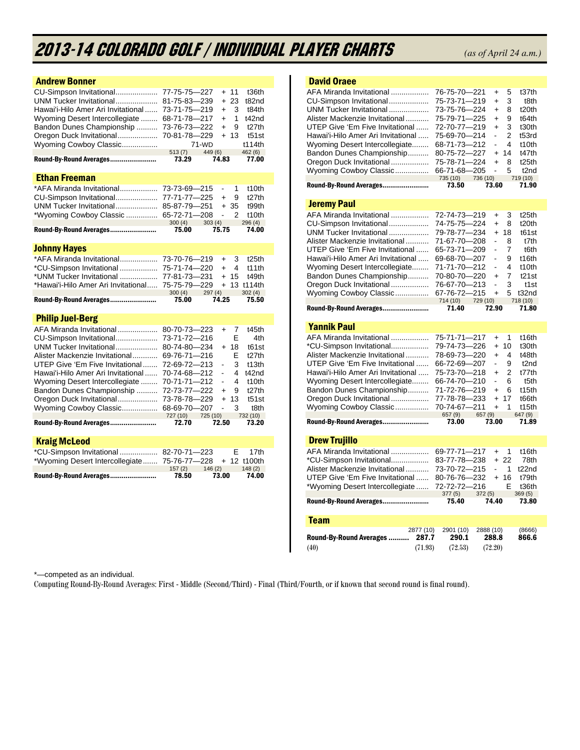# 2013-14 COLORADO GOLF / Individual Player Charts *(as of April 24 a.m.)*

| <b>Andrew Bonner</b>                                                                                                                                                                                                                                             |                                                                                                                 |                                                                                                                                                                                                           |  |
|------------------------------------------------------------------------------------------------------------------------------------------------------------------------------------------------------------------------------------------------------------------|-----------------------------------------------------------------------------------------------------------------|-----------------------------------------------------------------------------------------------------------------------------------------------------------------------------------------------------------|--|
| CU-Simpson Invitational<br>UNM Tucker Invitational<br>Hawai'i-Hilo Amer Ari Invitational<br>Wyoming Desert Intercollegiate<br>Bandon Dunes Championship<br>Oregon Duck Invitational<br>Wyoming Cowboy Classic<br>Round-By-Round Averages<br><b>Ethan Freeman</b> | 77-75-75-227<br>81-75-83-239<br>73-71-75-219<br>68-71-78-217<br>73-76-73-222<br>70-81-78-229<br>513(7)<br>73.29 | 11<br>t36th<br>$+$<br>23<br>$+$<br>t82nd<br>3<br>t84th<br>$\ddot{}$<br>1<br>t42nd<br>$\ddot{}$<br>9<br>t27th<br>$\ddot{}$<br>$+13$<br>t51st<br>t114th<br>$71 - WD$<br>449 (6)<br>462(6)<br>74.83<br>77.00 |  |
| *AFA Miranda Invitational                                                                                                                                                                                                                                        | 73-73-69-215                                                                                                    | 1<br>$\omega$<br>t10th                                                                                                                                                                                    |  |
| CU-Simpson Invitational                                                                                                                                                                                                                                          | 77-71-77-225                                                                                                    | 9<br>t27th<br>$+$                                                                                                                                                                                         |  |
| UNM Tucker Invitational                                                                                                                                                                                                                                          | 85-87-79-251                                                                                                    | $+35$<br>t99th                                                                                                                                                                                            |  |
| *Wyoming Cowboy Classic                                                                                                                                                                                                                                          | 65-72-71-208                                                                                                    | $\overline{2}$<br>$\overline{a}$<br>t10th                                                                                                                                                                 |  |
|                                                                                                                                                                                                                                                                  | 300(4)                                                                                                          | 303(4)<br>296(4)                                                                                                                                                                                          |  |
| Round-By-Round Averages                                                                                                                                                                                                                                          | 75.00                                                                                                           | 75.75<br>74.00                                                                                                                                                                                            |  |
| <b>Johnny Hayes</b>                                                                                                                                                                                                                                              |                                                                                                                 |                                                                                                                                                                                                           |  |
| *AFA Miranda Invitational                                                                                                                                                                                                                                        | 73-70-76-219                                                                                                    | 3<br>t <sub>25th</sub><br>$+$                                                                                                                                                                             |  |
| *CU-Simpson Invitational                                                                                                                                                                                                                                         | 75-71-74-220                                                                                                    | $+$<br>4<br>t11th                                                                                                                                                                                         |  |
| *UNM Tucker Invitational                                                                                                                                                                                                                                         | 77-81-73-231                                                                                                    | $+ 15$<br>t49th                                                                                                                                                                                           |  |
| *Hawai'i-Hilo Amer Ari Invitational                                                                                                                                                                                                                              | 75-75-79-229                                                                                                    | $\ddotmark$<br>13 t114th                                                                                                                                                                                  |  |
|                                                                                                                                                                                                                                                                  | 300(4)                                                                                                          | 297(4)<br>302(4)                                                                                                                                                                                          |  |
|                                                                                                                                                                                                                                                                  |                                                                                                                 |                                                                                                                                                                                                           |  |
| Round-By-Round Averages                                                                                                                                                                                                                                          | 75.00                                                                                                           | 74.25<br>75.50                                                                                                                                                                                            |  |
|                                                                                                                                                                                                                                                                  |                                                                                                                 |                                                                                                                                                                                                           |  |
| <b>Philip Juel-Berg</b>                                                                                                                                                                                                                                          |                                                                                                                 |                                                                                                                                                                                                           |  |
| AFA Miranda Invitational                                                                                                                                                                                                                                         | 80-70-73-223                                                                                                    | t45th<br>7<br>$\ddot{}$                                                                                                                                                                                   |  |
| CU-Simpson Invitational                                                                                                                                                                                                                                          | 73-71-72-216                                                                                                    | E<br>4th                                                                                                                                                                                                  |  |
| UNM Tucker Invitational                                                                                                                                                                                                                                          | 80-74-80-234                                                                                                    | t61st<br>+ 18                                                                                                                                                                                             |  |
| Alister Mackenzie Invitational                                                                                                                                                                                                                                   | 69-76-71-216                                                                                                    | E<br>t27th                                                                                                                                                                                                |  |
| UTEP Give 'Em Five Invitational                                                                                                                                                                                                                                  | 72-69-72-213                                                                                                    | 3<br>t13th<br>$\qquad \qquad \blacksquare$<br>$\overline{a}$                                                                                                                                              |  |
| Hawai'i-Hilo Amer Ari Invitational                                                                                                                                                                                                                               | 70-74-68-212                                                                                                    | 4<br>t42nd<br>4<br>÷,                                                                                                                                                                                     |  |
| Wyoming Desert Intercollegiate                                                                                                                                                                                                                                   | 70-71-71-212                                                                                                    | t10th<br>$\ddot{}$<br>9                                                                                                                                                                                   |  |
| Bandon Dunes Championship                                                                                                                                                                                                                                        | 72-73-77-222                                                                                                    | t27th                                                                                                                                                                                                     |  |
| Oregon Duck Invitational                                                                                                                                                                                                                                         | 73-78-78-229                                                                                                    | t51st<br>$+ 13$<br>$\overline{a}$                                                                                                                                                                         |  |
| Wyoming Cowboy Classic                                                                                                                                                                                                                                           | 68-69-70-207<br>727 (10) 725 (10)                                                                               | 3<br>t8th<br>732 (10)                                                                                                                                                                                     |  |
| Round-By-Round Averages                                                                                                                                                                                                                                          | 72.70                                                                                                           | 72.50<br>73.20                                                                                                                                                                                            |  |
|                                                                                                                                                                                                                                                                  |                                                                                                                 |                                                                                                                                                                                                           |  |
| <b>Kraig McLeod</b>                                                                                                                                                                                                                                              |                                                                                                                 |                                                                                                                                                                                                           |  |
| *CU-Simpson Invitational                                                                                                                                                                                                                                         | 82-70-71-223                                                                                                    | E<br>17th                                                                                                                                                                                                 |  |
| *Wyoming Desert Intercollegiate                                                                                                                                                                                                                                  | 75-76-77-228                                                                                                    | + 12 t100th                                                                                                                                                                                               |  |
| Round-By-Round Averages                                                                                                                                                                                                                                          | 157(2)<br>78.50                                                                                                 | 146(2)<br>148(2)<br>73.00<br>74.00                                                                                                                                                                        |  |

### David Oraee

| AFA Miranda Invitational<br>CU-Simpson Invitational<br>UNM Tucker Invitational<br>Alister Mackenzie Invitational<br>UTEP Give 'Em Five Invitational<br>Hawai'i-Hilo Amer Ari Invitational<br>Wyoming Desert Intercollegiate<br>Bandon Dunes Championship<br>Oregon Duck Invitational<br>Wyoming Cowboy Classic<br>Round-By-Round Averages | 76-75-70-221<br>75-73-71-219<br>73-75-76-224<br>75-79-71-225<br>72-70-77-219<br>75-69-70-214<br>68-71-73-212<br>80-75-72-227<br>75-78-71-224<br>66-71-68-205<br>735 (10)<br>73.50 | $\ddot{}$<br>$\ddot{}$<br>$\ddot{}$<br>$\ddot{}$<br>$\ddot{}$<br>4<br>14<br>$\ddot{}$<br>$\ddotmark$<br>$\blacksquare$<br>736 (10)<br>73.60                   | 5<br>t37th<br>3<br>t8th<br>8<br>t20th<br>9<br>t64th<br>3<br>t30th<br>2<br>t53rd<br>4<br>t <sub>10th</sub><br>t47th<br>t25th<br>8<br>5<br>t <sub>2nd</sub><br>719 (10)<br>71.90 |
|-------------------------------------------------------------------------------------------------------------------------------------------------------------------------------------------------------------------------------------------------------------------------------------------------------------------------------------------|-----------------------------------------------------------------------------------------------------------------------------------------------------------------------------------|---------------------------------------------------------------------------------------------------------------------------------------------------------------|--------------------------------------------------------------------------------------------------------------------------------------------------------------------------------|
| <b>Jeremy Paul</b>                                                                                                                                                                                                                                                                                                                        |                                                                                                                                                                                   |                                                                                                                                                               |                                                                                                                                                                                |
| AFA Miranda Invitational<br>CU-Simpson Invitational<br>UNM Tucker Invitational<br>Alister Mackenzie Invitational<br>UTEP Give 'Em Five Invitational<br>Hawai'i-Hilo Amer Ari Invitational<br>Wyoming Desert Intercollegiate<br>Bandon Dunes Championship<br>Oregon Duck Invitational<br>Wyoming Cowboy Classic<br>Round-By-Round Averages | 72-74-73-219<br>74-75-75-224<br>79-78-77-234<br>71-67-70-208<br>65-73-71-209<br>69-68-70-207<br>71-71-70-212<br>70-80-70-220<br>76-67-70-213<br>67-76-72-215<br>714 (10)<br>71.40 | $\ddot{}$<br>$\ddot{}$<br>$\ddot{}$<br>18<br>$\overline{a}$<br>$\overline{a}$<br>-<br>$\ddot{}$<br>$\overline{\phantom{a}}$<br>$\ddot{}$<br>729 (10)<br>72.90 | 3<br>t <sub>25th</sub><br>8<br>t <sub>20th</sub><br>t61st<br>t7th<br>8<br>7<br>t6th<br>9<br>t16th<br>4<br>t10th<br>7<br>t21st<br>3<br>t1st<br>t32nd<br>5<br>718 (10)<br>71.80  |
| <b>Yannik Paul</b>                                                                                                                                                                                                                                                                                                                        |                                                                                                                                                                                   |                                                                                                                                                               |                                                                                                                                                                                |
| AFA Miranda Invitational<br>*CU-Simpson Invitational<br>Alister Mackenzie Invitational<br>UTEP Give 'Em Five Invitational<br>Hawai'i-Hilo Amer Ari Invitational<br>Wyoming Desert Intercollegiate<br>Bandon Dunes Championship                                                                                                            | 75-71-71-217<br>79-74-73-226<br>78-69-73-220<br>66-72-69-207<br>75-73-70-218<br>66-74-70-210<br>71-72-76-219                                                                      | $\ddot{}$<br>10<br>$\ddot{}$<br>$\ddot{}$<br>ä,<br>$\ddot{}$<br>ä,<br>$\ddot{}$                                                                               | 1<br>t16th<br>t30th<br>t48th<br>4<br>9<br>t <sub>2nd</sub><br>2<br>t77th<br>6<br>t <sub>5th</sub><br>6<br>t15th                                                                |
| Oregon Duck Invitational<br>Wyoming Cowboy Classic                                                                                                                                                                                                                                                                                        | 77-78-78-233<br>70-74-67-211                                                                                                                                                      | $\ddot{}$<br>17<br>$\ddot{}$                                                                                                                                  | t66th<br>1<br>t15th                                                                                                                                                            |
| Round-By-Round Averages                                                                                                                                                                                                                                                                                                                   | 657 (9)<br>73.00                                                                                                                                                                  | 657(9)<br>73.00                                                                                                                                               | 647 (9)<br>71.89                                                                                                                                                               |
|                                                                                                                                                                                                                                                                                                                                           |                                                                                                                                                                                   |                                                                                                                                                               |                                                                                                                                                                                |
| <b>Drew Trujillo</b><br>AFA Miranda Invitational<br>*CU-Simpson Invitational<br>Alister Mackenzie Invitational<br>UTEP Give 'Em Five Invitational<br>*Wyoming Desert Intercollegiate                                                                                                                                                      | 69-77-71-217<br>83-77-78-238<br>73-70-72-215<br>80-76-76-232<br>72-72-72-216                                                                                                      | $\ddagger$<br>$+22$<br>ä,<br>$+ 16$                                                                                                                           | t16th<br>1<br>78th<br>1<br>t22nd<br>t79th<br>E<br>t36th                                                                                                                        |
| Round-By-Round Averages                                                                                                                                                                                                                                                                                                                   | 377(5)<br>75.40                                                                                                                                                                   | 372(5)<br>74.40                                                                                                                                               | 369(5)<br>73.80                                                                                                                                                                |
|                                                                                                                                                                                                                                                                                                                                           |                                                                                                                                                                                   |                                                                                                                                                               |                                                                                                                                                                                |
| <b>Team</b><br>2877 (10)                                                                                                                                                                                                                                                                                                                  | 2901 (10)                                                                                                                                                                         | 2888 (10)                                                                                                                                                     | (8666)                                                                                                                                                                         |

\*—competed as an individual.

Computing Round-By-Round Averages: First - Middle (Second/Third) - Final (Third/Fourth, or if known that second round is final round).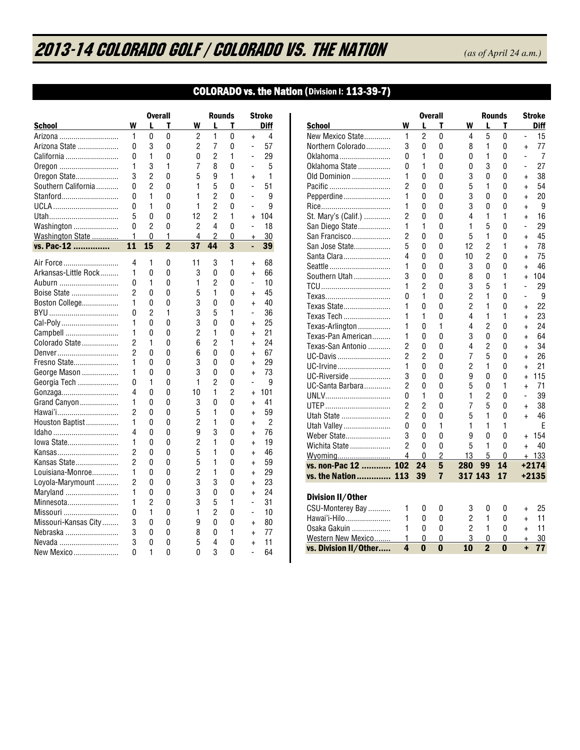# 2013-14 COLORADO GOLF / COLORADO vs. THE NATION *(as of April 24 a.m.)*

## COLORADO vs. the Nation (Division I: 113-39-7)

| Diff<br>W<br>W<br>т<br><b>School</b><br>L<br>т<br>L<br>1<br>1<br>0<br>0<br>2<br>0<br>4<br>Arizona<br>$\ddot{}$<br>3<br>$\overline{2}$<br>7<br>0<br>0<br>0<br>57<br>Arizona State<br>$\overline{\phantom{0}}$<br>1<br>$\overline{c}$<br>1<br>0<br>0<br>0<br>29<br>California<br>$\overline{a}$<br>1<br>3<br>1<br>7<br>8<br>0<br>5<br>Oregon<br>$\overline{\phantom{0}}$<br>3<br>$\overline{2}$<br>5<br>0<br>9<br>1<br>1<br>Oregon State<br>$\ddot{}$<br>$\overline{2}$<br>1<br>5<br>Southern California<br>0<br>0<br>0<br>51<br>$\overline{a}$<br>1<br>1<br>$\overline{c}$<br>0<br>9<br>Stanford<br>0<br>0<br>$\overline{\phantom{0}}$<br>1<br>$\overline{c}$<br>0<br>1<br>0<br>0<br>9<br>UCLA<br>$\overline{\phantom{0}}$<br>$\overline{2}$<br>5<br>0<br>12<br>1<br>0<br>104<br>Utah<br>$\ddot{}$<br>$\overline{2}$<br>$\overline{2}$<br>4<br>0<br>0<br>0<br>18<br>Washington<br>$\overline{a}$<br>1<br>4<br>$\overline{c}$<br>Washington State<br>0<br>1<br>0<br>30<br>$\ddagger$<br>$\overline{2}$<br>$\overline{37}$<br>$\overline{3}$<br>44<br>11<br>15<br>vs. Pac-12<br>39<br>٠<br>4<br>3<br>Air Force<br>1<br>0<br>11<br>1<br>68<br>$\ddot{}$<br>1<br>Arkansas-Little Rock<br>0<br>3<br>0<br>0<br>66<br>0<br>$\ddot{}$<br>$\overline{2}$<br>1<br>1<br>10<br>Auburn<br>0<br>0<br>0<br>-<br>$\overline{2}$<br>Boise State<br>0<br>5<br>1<br>0<br>45<br>0<br>$\ddot{}$<br>1<br>3<br>Boston College<br>0<br>0<br>0<br>0<br>40<br>$\ddot{}$<br>1<br>3<br>1<br>0<br>2<br>5<br>36<br>$\overline{a}$<br>3<br>1<br>0<br>0<br>0<br>0<br>25<br>Cal-Poly<br>$\ddot{}$<br>1<br>$\overline{c}$<br>1<br>0<br>0<br>21<br>Campbell<br>0<br>$\ddot{}$ |
|-------------------------------------------------------------------------------------------------------------------------------------------------------------------------------------------------------------------------------------------------------------------------------------------------------------------------------------------------------------------------------------------------------------------------------------------------------------------------------------------------------------------------------------------------------------------------------------------------------------------------------------------------------------------------------------------------------------------------------------------------------------------------------------------------------------------------------------------------------------------------------------------------------------------------------------------------------------------------------------------------------------------------------------------------------------------------------------------------------------------------------------------------------------------------------------------------------------------------------------------------------------------------------------------------------------------------------------------------------------------------------------------------------------------------------------------------------------------------------------------------------------------------------------------------------------------------------------------------------------------------------------------|
|                                                                                                                                                                                                                                                                                                                                                                                                                                                                                                                                                                                                                                                                                                                                                                                                                                                                                                                                                                                                                                                                                                                                                                                                                                                                                                                                                                                                                                                                                                                                                                                                                                           |
|                                                                                                                                                                                                                                                                                                                                                                                                                                                                                                                                                                                                                                                                                                                                                                                                                                                                                                                                                                                                                                                                                                                                                                                                                                                                                                                                                                                                                                                                                                                                                                                                                                           |
|                                                                                                                                                                                                                                                                                                                                                                                                                                                                                                                                                                                                                                                                                                                                                                                                                                                                                                                                                                                                                                                                                                                                                                                                                                                                                                                                                                                                                                                                                                                                                                                                                                           |
|                                                                                                                                                                                                                                                                                                                                                                                                                                                                                                                                                                                                                                                                                                                                                                                                                                                                                                                                                                                                                                                                                                                                                                                                                                                                                                                                                                                                                                                                                                                                                                                                                                           |
|                                                                                                                                                                                                                                                                                                                                                                                                                                                                                                                                                                                                                                                                                                                                                                                                                                                                                                                                                                                                                                                                                                                                                                                                                                                                                                                                                                                                                                                                                                                                                                                                                                           |
|                                                                                                                                                                                                                                                                                                                                                                                                                                                                                                                                                                                                                                                                                                                                                                                                                                                                                                                                                                                                                                                                                                                                                                                                                                                                                                                                                                                                                                                                                                                                                                                                                                           |
|                                                                                                                                                                                                                                                                                                                                                                                                                                                                                                                                                                                                                                                                                                                                                                                                                                                                                                                                                                                                                                                                                                                                                                                                                                                                                                                                                                                                                                                                                                                                                                                                                                           |
|                                                                                                                                                                                                                                                                                                                                                                                                                                                                                                                                                                                                                                                                                                                                                                                                                                                                                                                                                                                                                                                                                                                                                                                                                                                                                                                                                                                                                                                                                                                                                                                                                                           |
|                                                                                                                                                                                                                                                                                                                                                                                                                                                                                                                                                                                                                                                                                                                                                                                                                                                                                                                                                                                                                                                                                                                                                                                                                                                                                                                                                                                                                                                                                                                                                                                                                                           |
|                                                                                                                                                                                                                                                                                                                                                                                                                                                                                                                                                                                                                                                                                                                                                                                                                                                                                                                                                                                                                                                                                                                                                                                                                                                                                                                                                                                                                                                                                                                                                                                                                                           |
|                                                                                                                                                                                                                                                                                                                                                                                                                                                                                                                                                                                                                                                                                                                                                                                                                                                                                                                                                                                                                                                                                                                                                                                                                                                                                                                                                                                                                                                                                                                                                                                                                                           |
|                                                                                                                                                                                                                                                                                                                                                                                                                                                                                                                                                                                                                                                                                                                                                                                                                                                                                                                                                                                                                                                                                                                                                                                                                                                                                                                                                                                                                                                                                                                                                                                                                                           |
|                                                                                                                                                                                                                                                                                                                                                                                                                                                                                                                                                                                                                                                                                                                                                                                                                                                                                                                                                                                                                                                                                                                                                                                                                                                                                                                                                                                                                                                                                                                                                                                                                                           |
|                                                                                                                                                                                                                                                                                                                                                                                                                                                                                                                                                                                                                                                                                                                                                                                                                                                                                                                                                                                                                                                                                                                                                                                                                                                                                                                                                                                                                                                                                                                                                                                                                                           |
|                                                                                                                                                                                                                                                                                                                                                                                                                                                                                                                                                                                                                                                                                                                                                                                                                                                                                                                                                                                                                                                                                                                                                                                                                                                                                                                                                                                                                                                                                                                                                                                                                                           |
|                                                                                                                                                                                                                                                                                                                                                                                                                                                                                                                                                                                                                                                                                                                                                                                                                                                                                                                                                                                                                                                                                                                                                                                                                                                                                                                                                                                                                                                                                                                                                                                                                                           |
|                                                                                                                                                                                                                                                                                                                                                                                                                                                                                                                                                                                                                                                                                                                                                                                                                                                                                                                                                                                                                                                                                                                                                                                                                                                                                                                                                                                                                                                                                                                                                                                                                                           |
|                                                                                                                                                                                                                                                                                                                                                                                                                                                                                                                                                                                                                                                                                                                                                                                                                                                                                                                                                                                                                                                                                                                                                                                                                                                                                                                                                                                                                                                                                                                                                                                                                                           |
|                                                                                                                                                                                                                                                                                                                                                                                                                                                                                                                                                                                                                                                                                                                                                                                                                                                                                                                                                                                                                                                                                                                                                                                                                                                                                                                                                                                                                                                                                                                                                                                                                                           |
|                                                                                                                                                                                                                                                                                                                                                                                                                                                                                                                                                                                                                                                                                                                                                                                                                                                                                                                                                                                                                                                                                                                                                                                                                                                                                                                                                                                                                                                                                                                                                                                                                                           |
|                                                                                                                                                                                                                                                                                                                                                                                                                                                                                                                                                                                                                                                                                                                                                                                                                                                                                                                                                                                                                                                                                                                                                                                                                                                                                                                                                                                                                                                                                                                                                                                                                                           |
|                                                                                                                                                                                                                                                                                                                                                                                                                                                                                                                                                                                                                                                                                                                                                                                                                                                                                                                                                                                                                                                                                                                                                                                                                                                                                                                                                                                                                                                                                                                                                                                                                                           |
| $\overline{2}$<br>$\overline{c}$<br>1<br>1<br>6<br>24<br>Colorado State<br>0<br>$\ddot{}$                                                                                                                                                                                                                                                                                                                                                                                                                                                                                                                                                                                                                                                                                                                                                                                                                                                                                                                                                                                                                                                                                                                                                                                                                                                                                                                                                                                                                                                                                                                                                 |
| $\overline{2}$<br>0<br>0<br>6<br>0<br>0<br>67<br>Denver<br>$\ddot{}$                                                                                                                                                                                                                                                                                                                                                                                                                                                                                                                                                                                                                                                                                                                                                                                                                                                                                                                                                                                                                                                                                                                                                                                                                                                                                                                                                                                                                                                                                                                                                                      |
| 1<br>3<br>Fresno State<br>0<br>0<br>0<br>29<br>0<br>$+$                                                                                                                                                                                                                                                                                                                                                                                                                                                                                                                                                                                                                                                                                                                                                                                                                                                                                                                                                                                                                                                                                                                                                                                                                                                                                                                                                                                                                                                                                                                                                                                   |
| 1<br>3<br>0<br>73<br>George Mason<br>0<br>0<br>0<br>$\ddot{}$                                                                                                                                                                                                                                                                                                                                                                                                                                                                                                                                                                                                                                                                                                                                                                                                                                                                                                                                                                                                                                                                                                                                                                                                                                                                                                                                                                                                                                                                                                                                                                             |
| $\overline{c}$<br>0<br>1<br>0<br>1<br>0<br>9<br>Georgia Tech<br>$\overline{a}$                                                                                                                                                                                                                                                                                                                                                                                                                                                                                                                                                                                                                                                                                                                                                                                                                                                                                                                                                                                                                                                                                                                                                                                                                                                                                                                                                                                                                                                                                                                                                            |
| 4<br>1<br>2<br>0<br>0<br>10<br>101<br>Gonzaga<br>$\ddot{}$                                                                                                                                                                                                                                                                                                                                                                                                                                                                                                                                                                                                                                                                                                                                                                                                                                                                                                                                                                                                                                                                                                                                                                                                                                                                                                                                                                                                                                                                                                                                                                                |
| 1<br>3<br>0<br>0<br>41<br>Grand Canyon<br>0<br>0<br>$\ddot{}$                                                                                                                                                                                                                                                                                                                                                                                                                                                                                                                                                                                                                                                                                                                                                                                                                                                                                                                                                                                                                                                                                                                                                                                                                                                                                                                                                                                                                                                                                                                                                                             |
| $\overline{2}$<br>5<br>1<br>59<br>Hawai'i<br>0<br>0<br>0<br>$\ddot{}$                                                                                                                                                                                                                                                                                                                                                                                                                                                                                                                                                                                                                                                                                                                                                                                                                                                                                                                                                                                                                                                                                                                                                                                                                                                                                                                                                                                                                                                                                                                                                                     |
| 1<br>2<br>1<br>2<br>Houston Baptist<br>0<br>0<br>0<br>$\ddot{}$                                                                                                                                                                                                                                                                                                                                                                                                                                                                                                                                                                                                                                                                                                                                                                                                                                                                                                                                                                                                                                                                                                                                                                                                                                                                                                                                                                                                                                                                                                                                                                           |
| 4<br>3<br>9<br>0<br>76<br>Idaho<br>0<br>0<br>$\ddot{}$                                                                                                                                                                                                                                                                                                                                                                                                                                                                                                                                                                                                                                                                                                                                                                                                                                                                                                                                                                                                                                                                                                                                                                                                                                                                                                                                                                                                                                                                                                                                                                                    |
| 1<br>$\overline{c}$<br>1<br>0<br>0<br>0<br>19<br>lowa State<br>$\ddot{}$                                                                                                                                                                                                                                                                                                                                                                                                                                                                                                                                                                                                                                                                                                                                                                                                                                                                                                                                                                                                                                                                                                                                                                                                                                                                                                                                                                                                                                                                                                                                                                  |
| 5<br>2<br>1<br>Kansas<br>0<br>0<br>0<br>46<br>$\ddot{}$                                                                                                                                                                                                                                                                                                                                                                                                                                                                                                                                                                                                                                                                                                                                                                                                                                                                                                                                                                                                                                                                                                                                                                                                                                                                                                                                                                                                                                                                                                                                                                                   |
| 5<br>$\overline{2}$<br>1<br>Kansas State<br>0<br>59<br>0<br>0<br>$\ddot{}$                                                                                                                                                                                                                                                                                                                                                                                                                                                                                                                                                                                                                                                                                                                                                                                                                                                                                                                                                                                                                                                                                                                                                                                                                                                                                                                                                                                                                                                                                                                                                                |
| 1<br>$\overline{c}$<br>1<br>0<br>29<br>Louisiana-Monroe<br>0<br>0<br>$\ddot{}$                                                                                                                                                                                                                                                                                                                                                                                                                                                                                                                                                                                                                                                                                                                                                                                                                                                                                                                                                                                                                                                                                                                                                                                                                                                                                                                                                                                                                                                                                                                                                            |
| $\overline{c}$<br>3<br>3<br>0<br>23<br>Loyola-Marymount<br>0<br>0<br>$\ddot{}$                                                                                                                                                                                                                                                                                                                                                                                                                                                                                                                                                                                                                                                                                                                                                                                                                                                                                                                                                                                                                                                                                                                                                                                                                                                                                                                                                                                                                                                                                                                                                            |
| 3<br>1<br>0<br>0<br>0<br>24<br>Maryland<br>0<br>$\ddot{}$                                                                                                                                                                                                                                                                                                                                                                                                                                                                                                                                                                                                                                                                                                                                                                                                                                                                                                                                                                                                                                                                                                                                                                                                                                                                                                                                                                                                                                                                                                                                                                                 |
| 1<br>3<br>1<br>2<br>5<br>31<br>Minnesota<br>0<br>$\overline{a}$                                                                                                                                                                                                                                                                                                                                                                                                                                                                                                                                                                                                                                                                                                                                                                                                                                                                                                                                                                                                                                                                                                                                                                                                                                                                                                                                                                                                                                                                                                                                                                           |
| $\overline{c}$<br>0<br>1<br>1<br>0<br>10<br>Missouri<br>0<br>-                                                                                                                                                                                                                                                                                                                                                                                                                                                                                                                                                                                                                                                                                                                                                                                                                                                                                                                                                                                                                                                                                                                                                                                                                                                                                                                                                                                                                                                                                                                                                                            |
| 3<br>Missouri-Kansas City<br>0<br>9<br>0<br>0<br>80<br>0<br>$\ddot{}$                                                                                                                                                                                                                                                                                                                                                                                                                                                                                                                                                                                                                                                                                                                                                                                                                                                                                                                                                                                                                                                                                                                                                                                                                                                                                                                                                                                                                                                                                                                                                                     |
| 3<br>1<br>0<br>0<br>8<br>0<br>77<br>Nebraska<br>$\ddot{}$                                                                                                                                                                                                                                                                                                                                                                                                                                                                                                                                                                                                                                                                                                                                                                                                                                                                                                                                                                                                                                                                                                                                                                                                                                                                                                                                                                                                                                                                                                                                                                                 |
| 3<br>0<br>0<br>5<br>4<br>11<br>Nevada<br>0<br>$\ddot{}$                                                                                                                                                                                                                                                                                                                                                                                                                                                                                                                                                                                                                                                                                                                                                                                                                                                                                                                                                                                                                                                                                                                                                                                                                                                                                                                                                                                                                                                                                                                                                                                   |
| 3<br>New Mexico<br>0<br>1<br>0<br>0<br>0<br>64<br>$\overline{a}$                                                                                                                                                                                                                                                                                                                                                                                                                                                                                                                                                                                                                                                                                                                                                                                                                                                                                                                                                                                                                                                                                                                                                                                                                                                                                                                                                                                                                                                                                                                                                                          |

|                       |                |                | Overall        |                |                     | <b>Rounds</b> |                | Stroke  |  |  |
|-----------------------|----------------|----------------|----------------|----------------|---------------------|---------------|----------------|---------|--|--|
| School                | W              |                | т              | W              | L                   | т             |                | Diff    |  |  |
| New Mexico State      | 1              | $\overline{c}$ | 0              | 4              | 5                   | 0             |                | 15      |  |  |
| Northern Colorado     | 3              | 0              | 0              | 8              | 1                   | 0             | $\ddot{}$      | 77      |  |  |
| Oklahoma              | 0              | 1              | 0              | 0              | 1                   | 0             | $\overline{a}$ | 7       |  |  |
| Oklahoma State        | 0              | 1              | 0              | 0              | 3                   | 0             |                | 27      |  |  |
| Old Dominion          | 1              | 0              | 0              | 3              | 0                   | 0             | $\ddot{}$      | 38      |  |  |
| Pacific               | 2              | 0              | 0              | 5              | 1                   | 0             | $\ddot{}$      | 54      |  |  |
| Pepperdine            | 1              | 0              | 0              | 3              | 0                   | 0             | $\ddot{}$      | 20      |  |  |
| Rice                  | 1              | 0              | 0              | 3              | 0                   | 0             | $\ddot{+}$     | 9       |  |  |
| St. Mary's (Calif.)   | 2              | 0              | 0              | 4              | 1                   | 1             | $\ddot{}$      | 16      |  |  |
| San Diego State       | 1              | 1              | 0              | 1              | 5                   | 0             | $\overline{a}$ | 29      |  |  |
| San Francisco         | $\overline{2}$ | 0              | 0              | 5              | 1                   | 0             | $\ddot{}$      | 45      |  |  |
| San Jose State        | 5              | 0              | 0              | 12             | $\overline{c}$      | 1             | $\ddot{}$      | 78      |  |  |
| Santa Clara           | 4              | 0              | 0              | 10             | 2                   | 0             | $\ddot{}$      | 75      |  |  |
| Seattle               | 1              | 0              | 0              | 3              | 0                   | 0             | $\ddot{}$      | 46      |  |  |
| Southern Utah         | 3              | 0              | 0              | 8              | 0                   | 1             | $\ddot{}$      | 104     |  |  |
|                       | 1              | $\overline{2}$ | 0              | 3              | 5                   | 1             | $\overline{a}$ | 29      |  |  |
| Texas                 | 0              | 1              | 0              | 2              | 1                   | 0             | $\overline{a}$ | 9       |  |  |
| Texas State           | 1              | 0              | 0              | $\overline{2}$ | 1                   | 0             | $\ddot{}$      | 22      |  |  |
| Texas Tech            | 1              | 1              | 0              | 4              | 1                   | 1             | $\ddot{}$      | 23      |  |  |
| Texas-Arlington       | 1              | 0              | 1              | 4              | 2                   | 0             | $\ddot{}$      | 24      |  |  |
| Texas-Pan American    | 1              | 0              | 0              | 3              | 0                   | 0             | $\ddot{}$      | 64      |  |  |
| Texas-San Antonio     | $\overline{c}$ | 0              | 0              | 4              | $\overline{c}$      | 0             | $\ddot{}$      | 34      |  |  |
| UC-Davis              | $\overline{2}$ | 2              | 0              | 7              | 5                   | 0             | $\ddot{}$      | 26      |  |  |
| UC-Irvine             | 1              | 0              | 0              | 2              | 1                   | 0             | $\ddot{}$      | 21      |  |  |
| UC-Riverside          | 3              | 0              | 0              | 9              | 0                   | 0             | $\ddot{}$      | 115     |  |  |
| UC-Santa Barbara      | $\overline{2}$ | 0              | 0              | 5              | 0                   | 1             | $\ddot{}$      | 71      |  |  |
| UNLV                  | 0              | 1              | 0              | 1              | 2                   | 0             | $\overline{a}$ | 39      |  |  |
| UTEP                  | $\overline{2}$ | $\overline{c}$ | 0              | 7              | 5                   | 0             | $\ddot{}$      | 38      |  |  |
| Utah State            | $\overline{2}$ | 0              | 0              | 5              | 1                   | 0             | $\ddot{}$      | 46      |  |  |
| Utah Valley           | 0              | 0              | 1              | 1              | 1                   | 1             |                | F       |  |  |
| Weber State           | 3              | 0              | 0              | 9              | 0                   | 0             | $\ddot{}$      | 154     |  |  |
| Wichita State         | 2              | 0              | 0              | 5              | 1                   | 0             | $\ddot{}$      | 40      |  |  |
| Wyoming               | 4              | 0              | $\overline{c}$ | 13             | 5                   | 0             | $\ddot{}$      | 133     |  |  |
| vs. non-Pac 12        | 102            | 24             | 5              | 280            | 99                  | 14            |                | +2174   |  |  |
| vs. the Nation        | 113            | 39             | 7              | 317 143        |                     | 17            |                | $+2135$ |  |  |
|                       |                |                |                |                |                     |               |                |         |  |  |
| Division II/Other     |                |                |                |                |                     |               |                |         |  |  |
| CSU-Monterey Bay      | 1              | 0              | 0              | 3              | 0                   | 0             | $\ddot{}$      | 25      |  |  |
| Hawai'i-Hilo          | 1              | 0              | 0              | 2              | 1                   | 0             | $\ddot{}$      | 11      |  |  |
| Osaka Gakuin          | 1              | 0              | 0              | $\overline{2}$ | 1                   | 0             | $\ddot{}$      | 11      |  |  |
| Western New Mexico    | 1<br>4         | 0<br>0         | 0              | 3<br>10        | 0<br>$\overline{2}$ | 0<br>O        | $\ddot{}$      | 30      |  |  |
| vs. Division II/Other |                |                | 0              |                |                     |               | ÷              | 77      |  |  |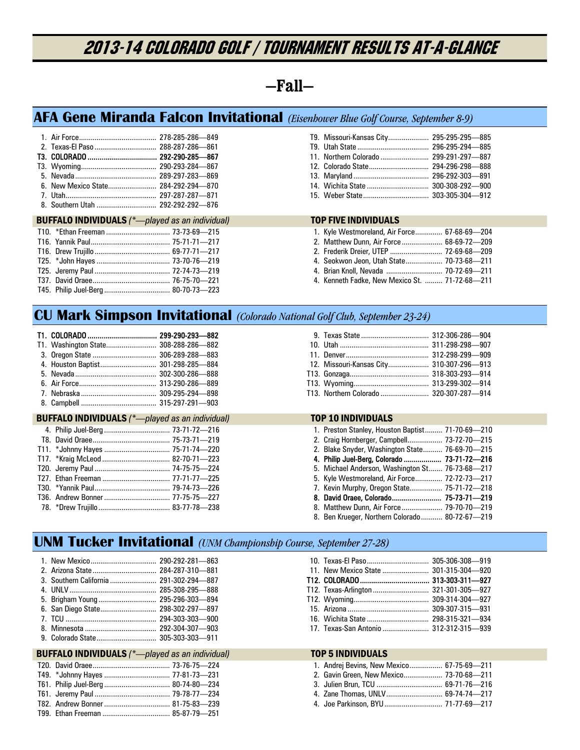# 2013-14 COLORADO GOLF / Tournament Results At-A-Glance

## **—Fall—**

## **AFA Gene Miranda Falcon Invitational** *(Eisenhower Blue Golf Course, September 8-9)*

| $\overline{1}$ litah and $\overline{1}$ litah and $\overline{1}$ litah and $\overline{1}$ and $\overline{1}$ and $\overline{1}$ and $\overline{1}$ and $\overline{1}$ and $\overline{1}$ and $\overline{1}$ and $\overline{1}$ and $\overline{1}$ and $\overline{1}$ and $\overline{1}$ and $\overline{1}$ and $\overline{1}$ | 207297297 971 |
|-------------------------------------------------------------------------------------------------------------------------------------------------------------------------------------------------------------------------------------------------------------------------------------------------------------------------------|---------------|

| 8. Southern Utah  292-292-292-876 |  |
|-----------------------------------|--|

#### BUFFALO INDIVIDUALS *(\*—played as an individual)* TOP FIVE INDIVIDUALS

| T9. Missouri-Kansas City 295-295-295-885 |  |
|------------------------------------------|--|
|                                          |  |
|                                          |  |
|                                          |  |
|                                          |  |
|                                          |  |
|                                          |  |

| 1. Kyle Westmoreland, Air Force 67-68-69-204   |  |
|------------------------------------------------|--|
| 2. Matthew Dunn, Air Force 68-69-72-209        |  |
|                                                |  |
| 4. Seokwon Jeon, Utah State 70-73-68-211       |  |
| 4. Brian Knoll, Nevada  70-72-69-211           |  |
| 4. Kenneth Fadke, New Mexico St.  71-72-68-211 |  |

## **CU Mark Simpson Invitational** *(Colorado National Golf Club, September 23-24)*

| T1. Washington State 308-288-286-882 |  |
|--------------------------------------|--|
|                                      |  |
| 4. Houston Baptist 301-298-285-884   |  |
|                                      |  |
|                                      |  |
|                                      |  |
|                                      |  |

#### BUFFALO INDIVIDUALS (\*--played as an individual) TOP 10 INDIVIDUALS

| 12. Missouri-Kansas City 310-307-296-913 |  |
|------------------------------------------|--|
|                                          |  |
|                                          |  |
| T13. Northern Colorado  320-307-287- 914 |  |
|                                          |  |

| 1. Preston Stanley, Houston Baptist 71-70-69-210 |  |
|--------------------------------------------------|--|
| 2. Craig Hornberger, Campbell 73-72-70-215       |  |
| 2. Blake Snyder, Washington State 76-69-70-215   |  |
| 4. Philip Juel-Berg, Colorado  73-71-72-216      |  |
| 5. Michael Anderson, Washington St 76-73-68-217  |  |
| 5. Kyle Westmoreland, Air Force 72-72-73-217     |  |
| 7. Kevin Murphy, Oregon State 75-71-72-218       |  |
| 8. David Oraee, Colorado 75-73-71-219            |  |
|                                                  |  |
| 8. Ben Krueger, Northern Colorado 80-72-67-219   |  |

## **UNM Tucker Invitational** *(UNM Championship Course, September 27-28)*

| 6. San Diego State 298-302-297-897 |  |
|------------------------------------|--|
|                                    |  |
|                                    |  |

#### 9. Colorado State ............................... 305-303-303—911

#### BUFFALO INDIVIDUALS  $(^*$ -played as an individual) TOP 5 INDIVIDUALS

| 11. New Mexico State  301-315-304-920 |  |
|---------------------------------------|--|
|                                       |  |
| T12. Texas-Arlington 321-301-305--927 |  |
|                                       |  |
|                                       |  |
|                                       |  |
|                                       |  |
|                                       |  |

| 1. Andrej Bevins, New Mexico 67-75-69-211 |  |
|-------------------------------------------|--|
|                                           |  |
|                                           |  |
|                                           |  |
| 4. Joe Parkinson, BYU  71-77-69-217       |  |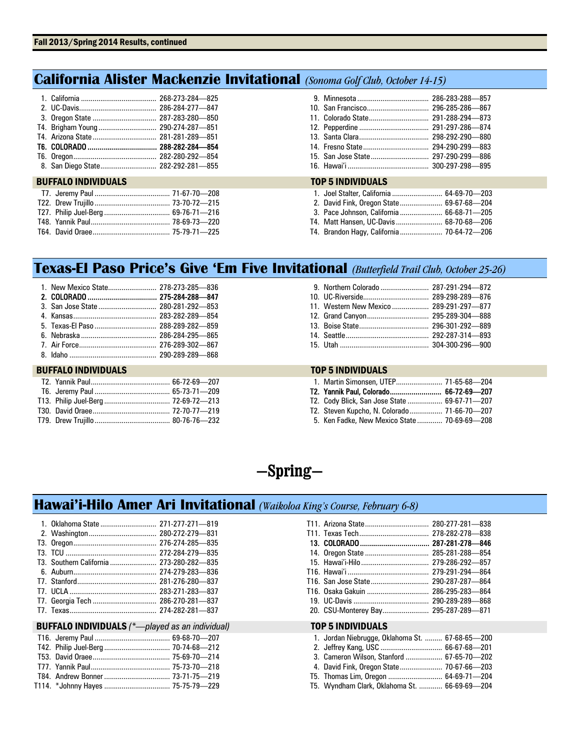## **California Alister Mackenzie Invitational** *(Sonoma Golf Club, October 14-15)*

| 8. San Diego State 282-292-281-855 |  |
|------------------------------------|--|

#### **BUFFALO INDIVIDUALS**

| <b>TOP 5 INDIVIDUALS</b> |  |
|--------------------------|--|

| 1. Joel Stalter, California  64-69-70-203 |  |
|-------------------------------------------|--|
| 2. David Fink, Oregon State 69-67-68-204  |  |
| 3. Pace Johnson, California  66-68-71-205 |  |
| T4. Matt Hansen, UC-Davis 68-70-68-206    |  |
| T4. Brandon Hagy, California 70-64-72-206 |  |

## **Texas-El Paso Price's Give 'Em Five Invitational** *(Butterfield Trail Club, October 25-26)*

#### BUFFALO INDIVIDUALS TOP 5 INDIVIDUALS

| 11. Western New Mexico  289-291-297-877 |  |
|-----------------------------------------|--|
|                                         |  |
|                                         |  |
|                                         |  |
|                                         |  |

| 1. Martin Simonsen, UTEP 71-65-68-204        |  |
|----------------------------------------------|--|
| T2. Yannik Paul, Colorado 66-72-69-207       |  |
| T2. Cody Blick, San Jose State  69-67-71-207 |  |
| T2. Steven Kupcho, N. Colorado 71-66-70-207  |  |
| 5. Ken Fadke, New Mexico State  70-69-69-208 |  |

## **—Spring—**

## **Hawai'i-Hilo Amer Ari Invitational** *(Waikoloa King's Course, February 6-8)*

|                                                        |  | T11. Arizona State       |
|--------------------------------------------------------|--|--------------------------|
|                                                        |  |                          |
|                                                        |  | T11. Texas Tech          |
|                                                        |  | 13. COLORADO             |
|                                                        |  | 14. Oregon State         |
| T3. Southern California  273-280-282-835               |  | 15. Hawai'i-Hilo         |
|                                                        |  | T16. Hawai'i             |
|                                                        |  | T16. San Jose State      |
|                                                        |  | T16. Osaka Gakuin        |
|                                                        |  | 19. UC-Davis             |
|                                                        |  | 20. CSU-Monterey Bay     |
| <b>BUFFALO INDIVIDUALS</b> (*-played as an individual) |  | <b>TOP 5 INDIVIDUALS</b> |

| 20. CSU-Monterey Bay 295-287-289-871 |  |
|--------------------------------------|--|
|                                      |  |

| 1. Jordan Niebrugge, Oklahoma St.  67-68-65-200 |  |
|-------------------------------------------------|--|
|                                                 |  |
| 3. Cameron Wilson, Stanford  67-65-70-202       |  |
| 4. David Fink, Oregon State 70-67-66-203        |  |
| T5. Thomas Lim, Oregon  64-69-71-204            |  |
| T5. Wyndham Clark, Oklahoma St.  66-69-69-204   |  |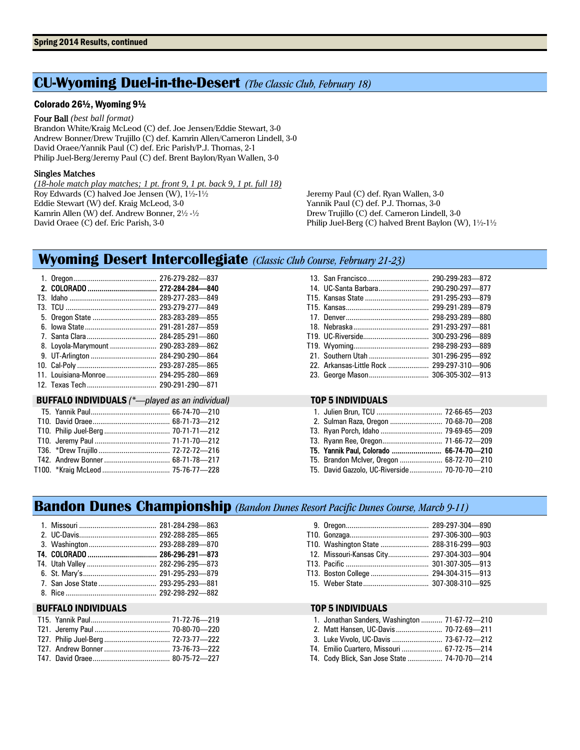## **CU-Wyoming Duel-in-the-Desert** *(The Classic Club, February 18)*

#### Colorado 26½, Wyoming 9½

Four Ball *(best ball format)*

Brandon White/Kraig McLeod (C) def. Joe Jensen/Eddie Stewart, 3-0 Andrew Bonner/Drew Trujillo (C) def. Kamrin Allen/Cameron Lindell, 3-0 David Oraee/Yannik Paul (C) def. Eric Parish/P.J. Thomas, 2-1 Philip Juel-Berg/Jeremy Paul (C) def. Brent Baylon/Ryan Wallen, 3-0

#### Singles Matches

*(18-hole match play matches; 1 pt. front 9, 1 pt. back 9, 1 pt. full 18)*  Roy Edwards (C) halved Joe Jensen (W), 1½-1½ Eddie Stewart (W) def. Kraig McLeod, 3-0 Kamrin Allen (W) def. Andrew Bonner, 2½ -½ David Oraee (C) def. Eric Parish, 3-0

Jeremy Paul (C) def. Ryan Wallen, 3-0 Yannik Paul (C) def. P.J. Thomas, 3-0 Drew Trujillo (C) def. Cameron Lindell, 3-0 Philip Juel-Berg (C) halved Brent Baylon (W), 1½-1½

## **Wyoming Desert Intercollegiate** *(Classic Club Course, February 21-23)*

|                                                       |                      | 276-279-282-837 |  |
|-------------------------------------------------------|----------------------|-----------------|--|
|                                                       |                      |                 |  |
|                                                       |                      | 289-277-283-849 |  |
|                                                       |                      | 293-279-277-849 |  |
|                                                       |                      | 283-283-289-855 |  |
|                                                       |                      | 291-281-287-859 |  |
|                                                       |                      | 284-285-291-860 |  |
|                                                       | 8. Loyola-Marymount  | 290-283-289-862 |  |
|                                                       |                      | 284-290-290-864 |  |
|                                                       |                      | 293-287-285-865 |  |
|                                                       | 11. Louisiana-Monroe | 294-295-280-869 |  |
|                                                       |                      |                 |  |
| <b>BUFFALO INDIVIDUALS</b> (*-played as an individual |                      |                 |  |
|                                                       |                      |                 |  |

| 14. UC-Santa Barbara 290-290-297-877      |  |
|-------------------------------------------|--|
|                                           |  |
|                                           |  |
|                                           |  |
|                                           |  |
|                                           |  |
|                                           |  |
|                                           |  |
| 22. Arkansas-Little Rock  299-297-310-906 |  |
| 23. George Mason 306-305-302-913          |  |
|                                           |  |

#### BUFFALO INDIVIDUALS *(\*—played as an individual)* TOP 5 INDIVIDUALS

| T5. Yannik Paul, Colorado  66-74-70-210      |  |
|----------------------------------------------|--|
| T5. Brandon McIver, Oregon  68-72-70-210     |  |
| T5. David Gazzolo, UC-Riverside 70-70-70-210 |  |

## **Bandon Dunes Championship** *(Bandon Dunes Resort Pacific Dunes Course, March 9-11)*

#### BUFFALO INDIVIDUALS TOP 5 INDIVIDUALS

| T10. Washington State  288-316-299-903   |  |
|------------------------------------------|--|
| 12. Missouri-Kansas City 297-304-303-904 |  |
|                                          |  |
|                                          |  |
|                                          |  |

| 1. Jonathan Sanders, Washington  71-67-72-210 |                |  |
|-----------------------------------------------|----------------|--|
|                                               |                |  |
| 3. Luke Vivolo, UC-Davis  73-67-72-212        |                |  |
| T4. Emilio Cuartero, Missouri  67-72-75-214   |                |  |
| TA Cody Rlick San Jose State                  | 74.70.70 - 214 |  |

T4. Cody Blick, San Jose State ..................